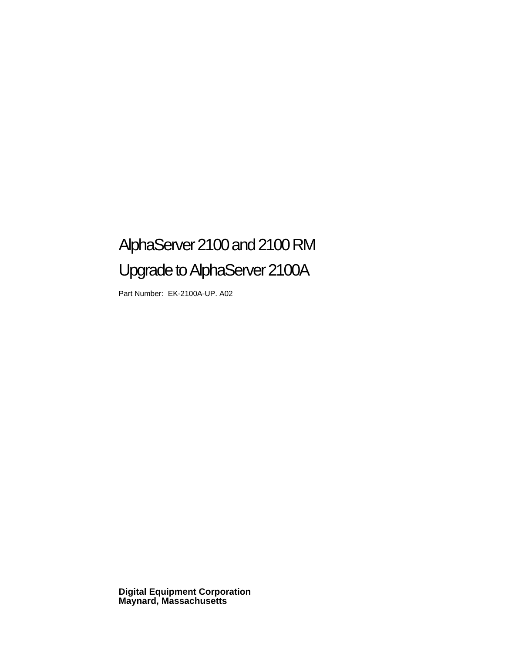# AlphaServer 2100 and 2100 RM

# Upgrade to AlphaServer 2100A

Part Number: EK-2100A-UP. A02

**Digital Equipment Corporation Maynard, Massachusetts**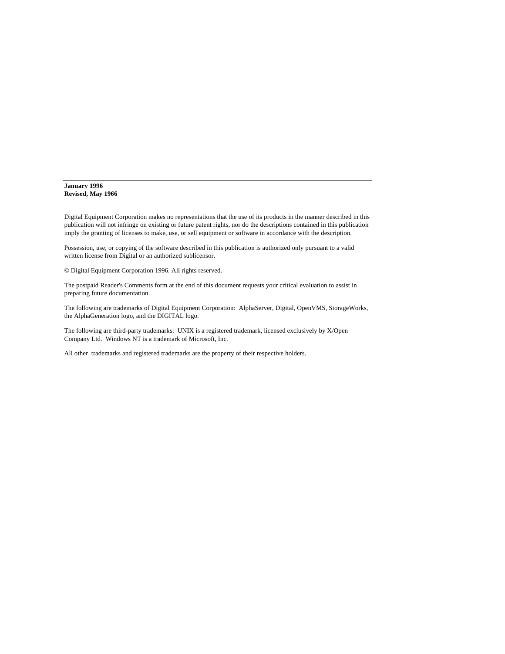#### **January 1996 Revised, May 1966**

Digital Equipment Corporation makes no representations that the use of its products in the manner described in this publication will not infringe on existing or future patent rights, nor do the descriptions contained in this publication imply the granting of licenses to make, use, or sell equipment or software in accordance with the description.

Possession, use, or copying of the software described in this publication is authorized only pursuant to a valid written license from Digital or an authorized sublicensor.

© Digital Equipment Corporation 1996. All rights reserved.

The postpaid Reader's Comments form at the end of this document requests your critical evaluation to assist in preparing future documentation.

The following are trademarks of Digital Equipment Corporation: AlphaServer, Digital, OpenVMS, StorageWorks, the AlphaGeneration logo, and the DIGITAL logo.

The following are third-party trademarks: UNIX is a registered trademark, licensed exclusively by X/Open Company Ltd. Windows NT is a trademark of Microsoft, Inc.

All other trademarks and registered trademarks are the property of their respective holders.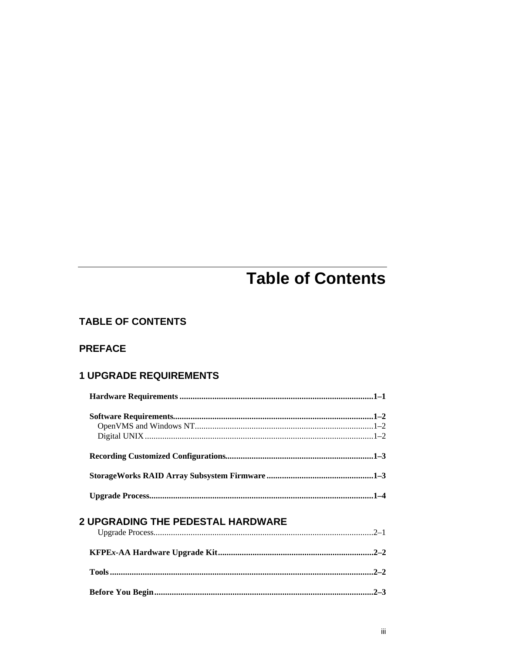# **Table of Contents**

## **TABLE OF CONTENTS**

### **PREFACE**

## **1 UPGRADE REQUIREMENTS**

| <b>2 UPGRADING THE PEDESTAL HARDWARE</b> |        |
|------------------------------------------|--------|
|                                          |        |
|                                          |        |
|                                          | $-2-2$ |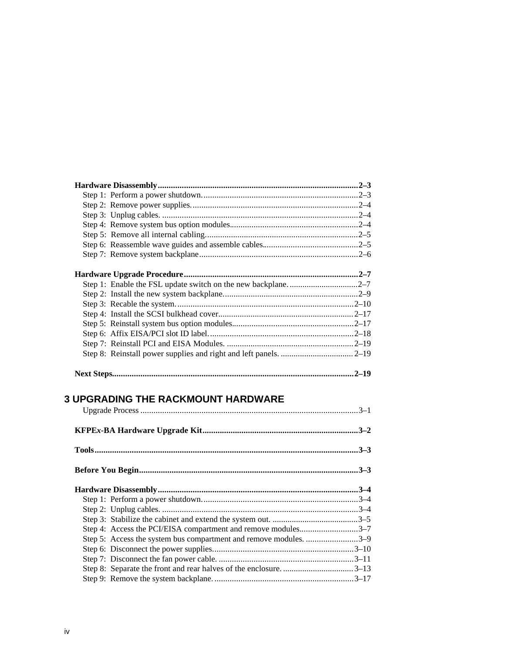| <b>3 UPGRADING THE RACKMOUNT HARDWARE</b>                                                                                          |  |
|------------------------------------------------------------------------------------------------------------------------------------|--|
|                                                                                                                                    |  |
|                                                                                                                                    |  |
|                                                                                                                                    |  |
|                                                                                                                                    |  |
| Step 4: Access the PCI/EISA compartment and remove modules3-7<br>Step 5: Access the system bus compartment and remove modules. 3-9 |  |
|                                                                                                                                    |  |
|                                                                                                                                    |  |
|                                                                                                                                    |  |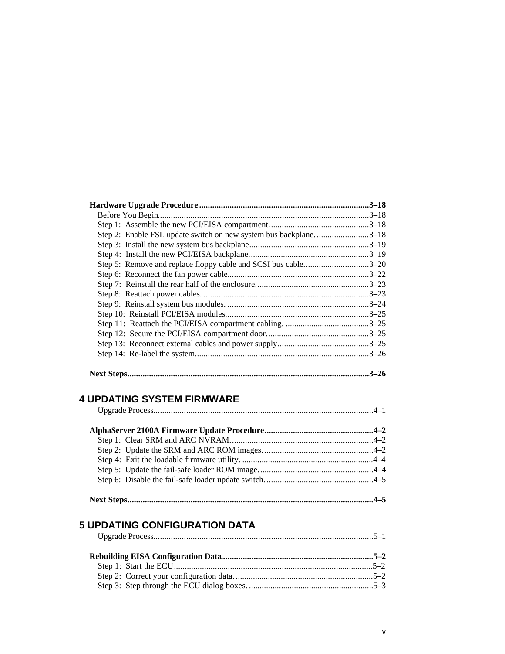| Step 2: Enable FSL update switch on new system bus backplane3–18 |          |
|------------------------------------------------------------------|----------|
|                                                                  |          |
|                                                                  |          |
| Step 5: Remove and replace floppy cable and SCSI bus cable3-20   |          |
|                                                                  |          |
|                                                                  |          |
|                                                                  |          |
|                                                                  |          |
|                                                                  |          |
|                                                                  |          |
|                                                                  |          |
|                                                                  |          |
|                                                                  |          |
|                                                                  | $3 - 26$ |

## **4 UPDATING SYSTEM FIRMWARE**

|--|

#### **5 UPDATING CONFIGURATION DATA** Upgrade Process.....................................................................................................5–1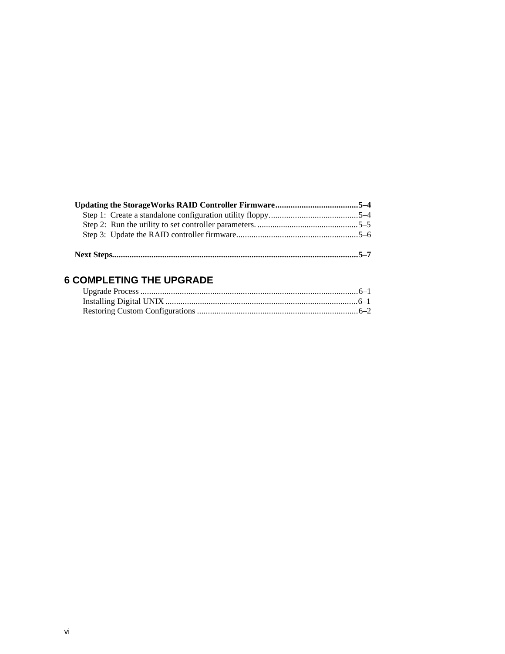## **6 COMPLETING THE UPGRADE**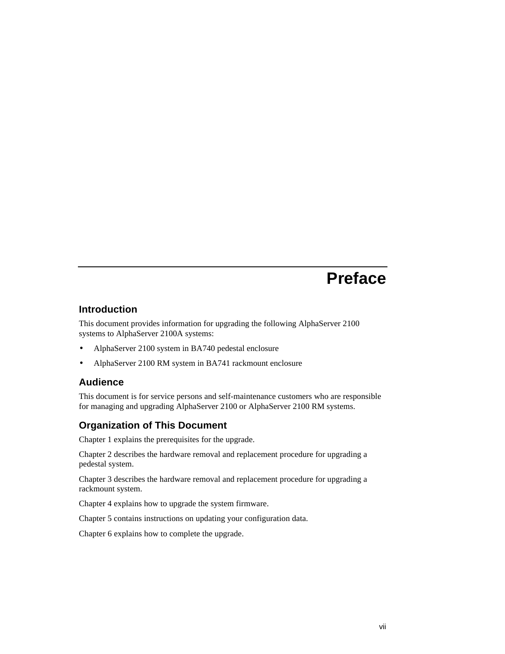## **Preface**

#### **Introduction**

This document provides information for upgrading the following AlphaServer 2100 systems to AlphaServer 2100A systems:

- AlphaServer 2100 system in BA740 pedestal enclosure
- AlphaServer 2100 RM system in BA741 rackmount enclosure

#### **Audience**

This document is for service persons and self-maintenance customers who are responsible for managing and upgrading AlphaServer 2100 or AlphaServer 2100 RM systems.

#### **Organization of This Document**

Chapter 1 explains the prerequisites for the upgrade.

Chapter 2 describes the hardware removal and replacement procedure for upgrading a pedestal system.

Chapter 3 describes the hardware removal and replacement procedure for upgrading a rackmount system.

Chapter 4 explains how to upgrade the system firmware.

Chapter 5 contains instructions on updating your configuration data.

Chapter 6 explains how to complete the upgrade.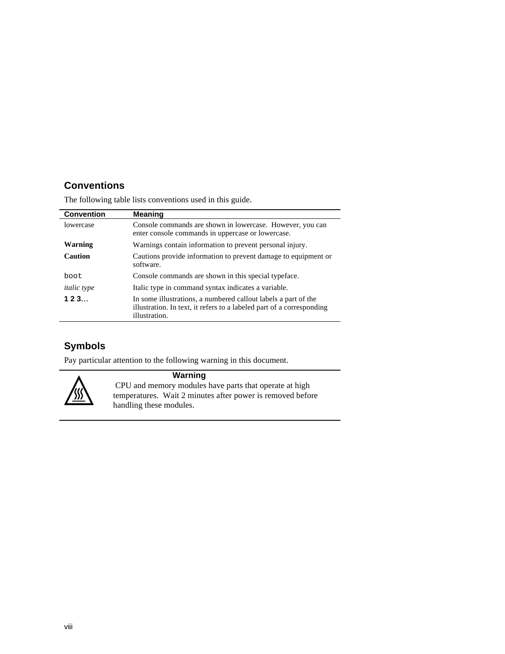## **Conventions**

The following table lists conventions used in this guide.

| <b>Convention</b>  | <b>Meaning</b>                                                                                                                                           |
|--------------------|----------------------------------------------------------------------------------------------------------------------------------------------------------|
| lowercase          | Console commands are shown in lowercase. However, you can<br>enter console commands in uppercase or lowercase.                                           |
| Warning            | Warnings contain information to prevent personal injury.                                                                                                 |
| <b>Caution</b>     | Cautions provide information to prevent damage to equipment or<br>software.                                                                              |
| <b>boot</b>        | Console commands are shown in this special type face.                                                                                                    |
| <i>italic</i> type | Italic type in command syntax indicates a variable.                                                                                                      |
| 123                | In some illustrations, a numbered callout labels a part of the<br>illustration. In text, it refers to a labeled part of a corresponding<br>illustration. |

## **Symbols**

Pay particular attention to the following warning in this document.



## **Warning**

 CPU and memory modules have parts that operate at high temperatures. Wait 2 minutes after power is removed before handling these modules.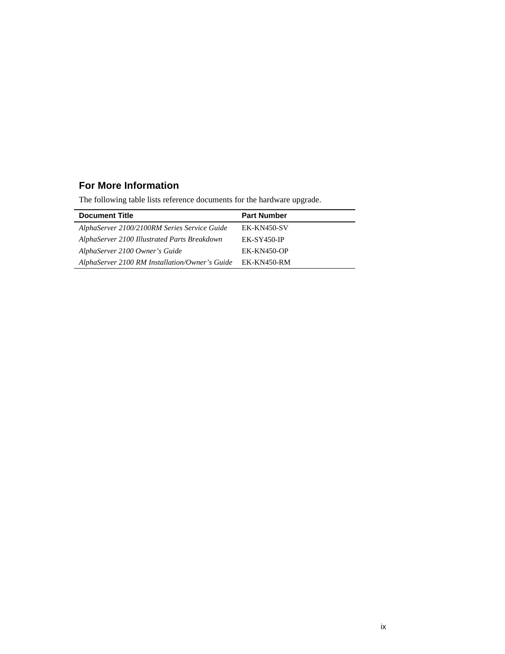## **For More Information**

The following table lists reference documents for the hardware upgrade.

| <b>Document Title</b>                          | <b>Part Number</b> |
|------------------------------------------------|--------------------|
| AlphaServer 2100/2100RM Series Service Guide   | EK-KN450-SV        |
| AlphaServer 2100 Illustrated Parts Breakdown   | $EK-SY450-IP$      |
| AlphaServer 2100 Owner's Guide                 | $EK-KN450-OP$      |
| AlphaServer 2100 RM Installation/Owner's Guide | EK-KN450-RM        |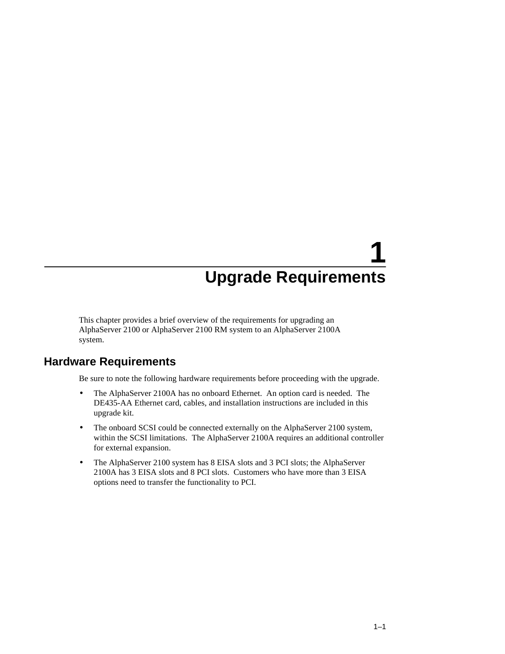This chapter provides a brief overview of the requirements for upgrading an AlphaServer 2100 or AlphaServer 2100 RM system to an AlphaServer 2100A system.

## **Hardware Requirements**

Be sure to note the following hardware requirements before proceeding with the upgrade.

- The AlphaServer 2100A has no onboard Ethernet. An option card is needed. The DE435-AA Ethernet card, cables, and installation instructions are included in this upgrade kit.
- The onboard SCSI could be connected externally on the AlphaServer 2100 system, within the SCSI limitations. The AlphaServer 2100A requires an additional controller for external expansion.
- The AlphaServer 2100 system has 8 EISA slots and 3 PCI slots; the AlphaServer 2100A has 3 EISA slots and 8 PCI slots. Customers who have more than 3 EISA options need to transfer the functionality to PCI.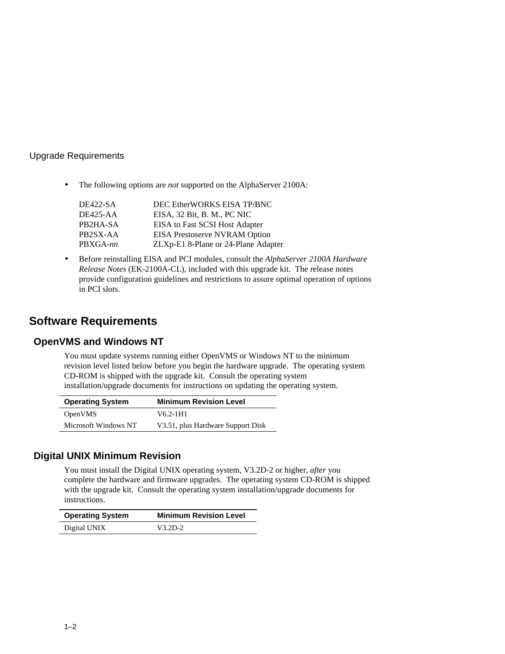• The following options are *not* supported on the AlphaServer 2100A:

| DE422-SA        | DEC EtherWORKS EISA TP/BNC           |
|-----------------|--------------------------------------|
| <b>DE425-AA</b> | EISA, 32 Bit, B. M., PC NIC          |
| PB2HA-SA        | EISA to Fast SCSI Host Adapter       |
| PB2SX-AA        | <b>EISA Prestoserve NVRAM Option</b> |
| PBXGA-nn        | ZLXp-E1 8-Plane or 24-Plane Adapter  |

• Before reinstalling EISA and PCI modules, consult the *AlphaServer 2100A Hardware Release Notes* (EK-2100A-CL), included with this upgrade kit. The release notes provide configuration guidelines and restrictions to assure optimal operation of options in PCI slots.

## **Software Requirements**

#### **OpenVMS and Windows NT**

You must update systems running either OpenVMS or Windows NT to the minimum revision level listed below before you begin the hardware upgrade. The operating system CD-ROM is shipped with the upgrade kit. Consult the operating system installation/upgrade documents for instructions on updating the operating system.

| <b>Operating System</b> | <b>Minimum Revision Level</b>     |
|-------------------------|-----------------------------------|
| <b>OpenVMS</b>          | V6.2-1H1                          |
| Microsoft Windows NT    | V3.51, plus Hardware Support Disk |

### **Digital UNIX Minimum Revision**

You must install the Digital UNIX operating system, V3.2D-2 or higher, *after* you complete the hardware and firmware upgrades. The operating system CD-ROM is shipped with the upgrade kit. Consult the operating system installation/upgrade documents for instructions.

| <b>Operating System</b> | <b>Minimum Revision Level</b> |
|-------------------------|-------------------------------|
| Digital UNIX            | $V3.2D-2$                     |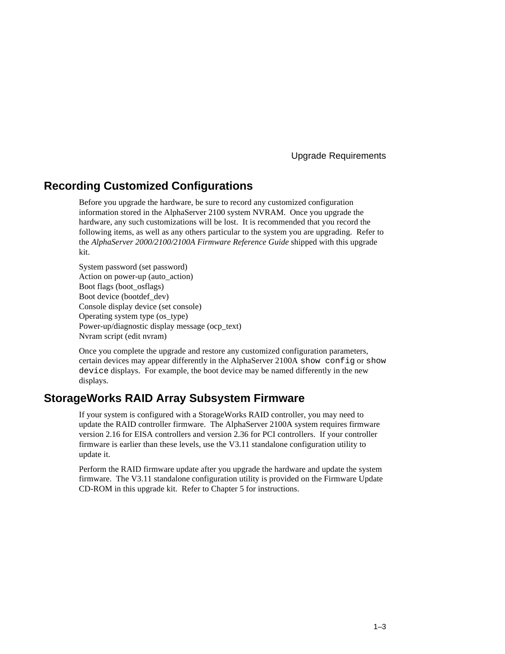## **Recording Customized Configurations**

Before you upgrade the hardware, be sure to record any customized configuration information stored in the AlphaServer 2100 system NVRAM. Once you upgrade the hardware, any such customizations will be lost. It is recommended that you record the following items, as well as any others particular to the system you are upgrading. Refer to the *AlphaServer 2000/2100/2100A Firmware Reference Guide* shipped with this upgrade kit.

System password (set password) Action on power-up (auto\_action) Boot flags (boot\_osflags) Boot device (bootdef\_dev) Console display device (set console) Operating system type (os\_type) Power-up/diagnostic display message (ocp\_text) Nvram script (edit nvram)

Once you complete the upgrade and restore any customized configuration parameters, certain devices may appear differently in the AlphaServer 2100A show config or show device displays. For example, the boot device may be named differently in the new displays.

## **StorageWorks RAID Array Subsystem Firmware**

If your system is configured with a StorageWorks RAID controller, you may need to update the RAID controller firmware. The AlphaServer 2100A system requires firmware version 2.16 for EISA controllers and version 2.36 for PCI controllers. If your controller firmware is earlier than these levels, use the V3.11 standalone configuration utility to update it.

Perform the RAID firmware update after you upgrade the hardware and update the system firmware. The V3.11 standalone configuration utility is provided on the Firmware Update CD-ROM in this upgrade kit. Refer to Chapter 5 for instructions.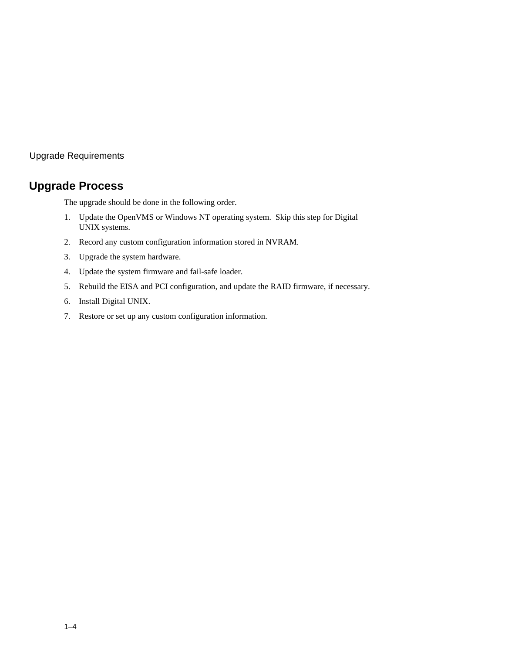## **Upgrade Process**

The upgrade should be done in the following order.

- 1. Update the OpenVMS or Windows NT operating system. Skip this step for Digital UNIX systems.
- 2. Record any custom configuration information stored in NVRAM.
- 3. Upgrade the system hardware.
- 4. Update the system firmware and fail-safe loader.
- 5. Rebuild the EISA and PCI configuration, and update the RAID firmware, if necessary.
- 6. Install Digital UNIX.
- 7. Restore or set up any custom configuration information.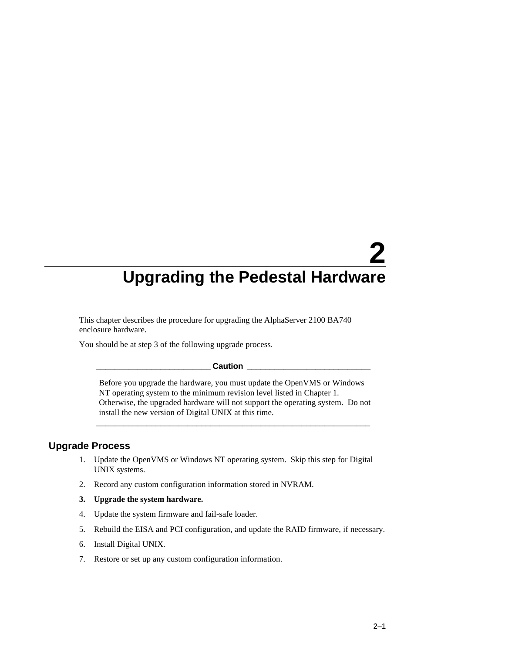This chapter describes the procedure for upgrading the AlphaServer 2100 BA740 enclosure hardware.

You should be at step 3 of the following upgrade process.

#### $\sf {Caution}$

Before you upgrade the hardware, you must update the OpenVMS or Windows NT operating system to the minimum revision level listed in Chapter 1. Otherwise, the upgraded hardware will not support the operating system. Do not install the new version of Digital UNIX at this time.

**\_\_\_\_\_\_\_\_\_\_\_\_\_\_\_\_\_\_\_\_\_\_\_\_\_\_\_\_\_\_\_\_\_\_\_\_\_\_\_\_\_\_\_\_\_\_\_\_\_\_\_\_\_\_\_\_\_\_\_\_**

#### **Upgrade Process**

- 1. Update the OpenVMS or Windows NT operating system. Skip this step for Digital UNIX systems.
- 2. Record any custom configuration information stored in NVRAM.
- **3. Upgrade the system hardware.**
- 4. Update the system firmware and fail-safe loader.
- 5. Rebuild the EISA and PCI configuration, and update the RAID firmware, if necessary.
- 6. Install Digital UNIX.
- 7. Restore or set up any custom configuration information.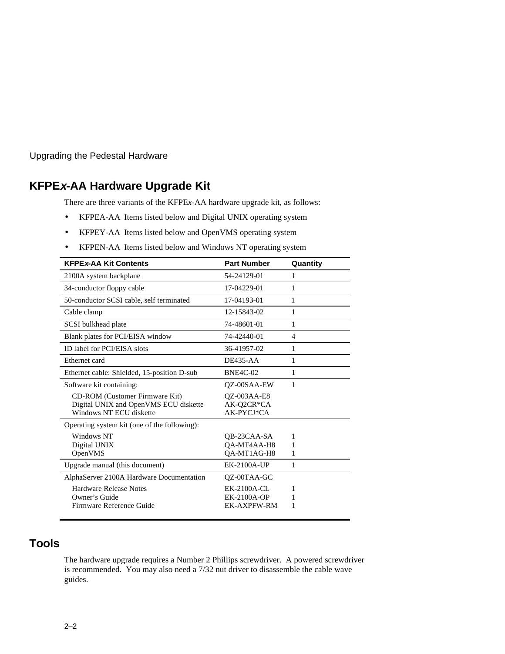## **KFPEx-AA Hardware Upgrade Kit**

There are three variants of the KFPE*x*-AA hardware upgrade kit, as follows:

- KFPEA-AA Items listed below and Digital UNIX operating system
- KFPEY-AA Items listed below and OpenVMS operating system
- KFPEN-AA Items listed below and Windows NT operating system

| <b>KFPEx-AA Kit Contents</b>                                                                              | <b>Part Number</b>                                             | Quantity    |
|-----------------------------------------------------------------------------------------------------------|----------------------------------------------------------------|-------------|
| 2100A system backplane                                                                                    | 54-24129-01                                                    | 1           |
| 34-conductor floppy cable                                                                                 | 17-04229-01                                                    | 1           |
| 50-conductor SCSI cable, self terminated                                                                  | 17-04193-01                                                    | 1           |
| Cable clamp                                                                                               | 12-15843-02                                                    | 1           |
| SCSI bulkhead plate                                                                                       | 74-48601-01                                                    | 1           |
| Blank plates for PCI/EISA window                                                                          | 74-42440-01                                                    | 4           |
| ID label for PCI/EISA slots                                                                               | 36-41957-02                                                    | 1           |
| Ethernet card                                                                                             | $DE435-AA$                                                     | 1           |
| Ethernet cable: Shielded, 15-position D-sub                                                               | <b>BNE4C-02</b>                                                | 1           |
| Software kit containing:                                                                                  | OZ-00SAA-EW                                                    | 1           |
| <b>CD-ROM</b> (Customer Firmware Kit)<br>Digital UNIX and OpenVMS ECU diskette<br>Windows NT ECU diskette | <b>OZ-003AA-E8</b><br>AK-Q2CR*CA<br>AK-PYCJ*CA                 |             |
| Operating system kit (one of the following):                                                              |                                                                |             |
| Windows NT<br>Digital UNIX<br>OpenVMS                                                                     | OB-23CAA-SA<br>QA-MT4AA-H8<br>QA-MT1AG-H8                      | 1<br>1<br>1 |
| Upgrade manual (this document)                                                                            | EK-2100A-UP                                                    | 1           |
| AlphaServer 2100A Hardware Documentation                                                                  | OZ-00TAA-GC                                                    |             |
| Hardware Release Notes<br>Owner's Guide<br>Firmware Reference Guide                                       | <b>EK-2100A-CL</b><br><b>EK-2100A-OP</b><br><b>EK-AXPFW-RM</b> | 1<br>1      |

## **Tools**

The hardware upgrade requires a Number 2 Phillips screwdriver. A powered screwdriver is recommended. You may also need a 7/32 nut driver to disassemble the cable wave guides.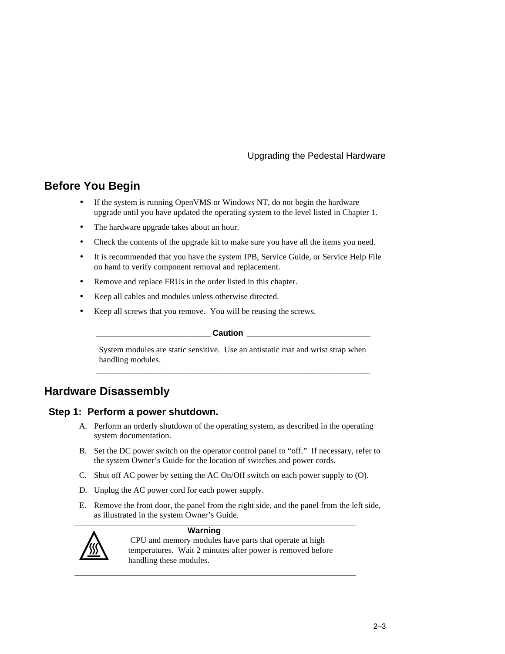## **Before You Begin**

- If the system is running OpenVMS or Windows NT, do not begin the hardware upgrade until you have updated the operating system to the level listed in Chapter 1.
- The hardware upgrade takes about an hour.
- Check the contents of the upgrade kit to make sure you have all the items you need.
- It is recommended that you have the system IPB, Service Guide, or Service Help File on hand to verify component removal and replacement.
- Remove and replace FRUs in the order listed in this chapter.
- Keep all cables and modules unless otherwise directed.
- Keep all screws that you remove. You will be reusing the screws.

#### **\_\_\_\_\_\_\_\_\_\_\_\_\_\_\_\_\_\_\_\_\_\_\_\_\_ Caution \_\_\_\_\_\_\_\_\_\_\_\_\_\_\_\_\_\_\_\_\_\_\_\_\_\_\_**

System modules are static sensitive. Use an antistatic mat and wrist strap when handling modules. **\_\_\_\_\_\_\_\_\_\_\_\_\_\_\_\_\_\_\_\_\_\_\_\_\_\_\_\_\_\_\_\_\_\_\_\_\_\_\_\_\_\_\_\_\_\_\_\_\_\_\_\_\_\_\_\_\_\_\_\_**

## **Hardware Disassembly**

#### **Step 1: Perform a power shutdown.**

- A. Perform an orderly shutdown of the operating system, as described in the operating system documentation.
- B. Set the DC power switch on the operator control panel to "off." If necessary, refer to the system Owner's Guide for the location of switches and power cords.
- C. Shut off AC power by setting the AC On/Off switch on each power supply to (O).
- D. Unplug the AC power cord for each power supply.
- E. Remove the front door, the panel from the right side, and the panel from the left side, as illustrated in the system Owner's Guide.



#### **Warning**

 CPU and memory modules have parts that operate at high temperatures. Wait 2 minutes after power is removed before handling these modules.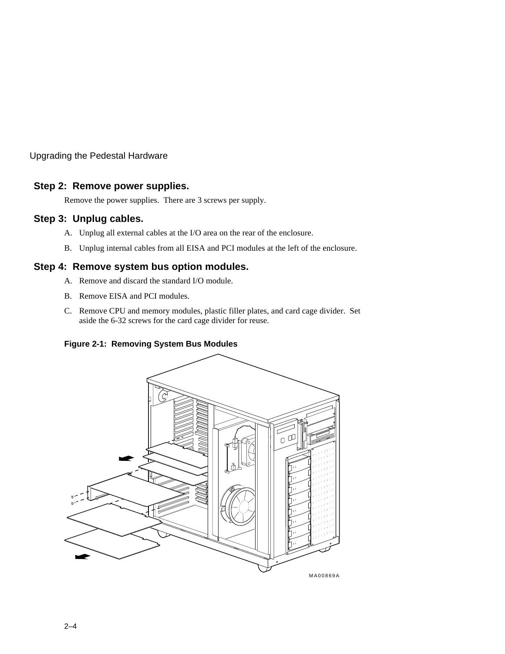### **Step 2: Remove power supplies.**

Remove the power supplies. There are 3 screws per supply.

#### **Step 3: Unplug cables.**

- A. Unplug all external cables at the I/O area on the rear of the enclosure.
- B. Unplug internal cables from all EISA and PCI modules at the left of the enclosure.

#### **Step 4: Remove system bus option modules.**

- A. Remove and discard the standard I/O module.
- B. Remove EISA and PCI modules.
- C. Remove CPU and memory modules, plastic filler plates, and card cage divider. Set aside the 6-32 screws for the card cage divider for reuse.

#### **Figure 2-1: Removing System Bus Modules**



MA00869A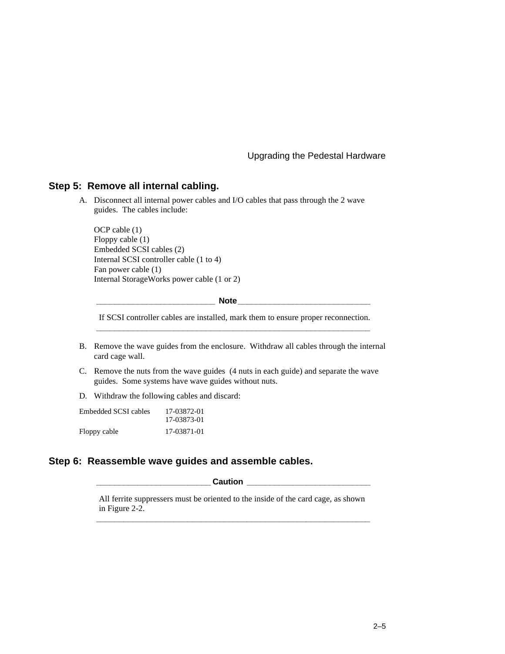#### **Step 5: Remove all internal cabling.**

A. Disconnect all internal power cables and I/O cables that pass through the 2 wave guides. The cables include:

OCP cable (1) Floppy cable (1) Embedded SCSI cables (2) Internal SCSI controller cable (1 to 4) Fan power cable (1) Internal StorageWorks power cable (1 or 2)

**Note** 

If SCSI controller cables are installed, mark them to ensure proper reconnection. **\_\_\_\_\_\_\_\_\_\_\_\_\_\_\_\_\_\_\_\_\_\_\_\_\_\_\_\_\_\_\_\_\_\_\_\_\_\_\_\_\_\_\_\_\_\_\_\_\_\_\_\_\_\_\_\_\_\_\_\_**

- B. Remove the wave guides from the enclosure. Withdraw all cables through the internal card cage wall.
- C. Remove the nuts from the wave guides (4 nuts in each guide) and separate the wave guides. Some systems have wave guides without nuts.
- D. Withdraw the following cables and discard:

| Embedded SCSI cables | 17-03872-01 |
|----------------------|-------------|
|                      | 17-03873-01 |
| Floppy cable         | 17-03871-01 |

#### **Step 6: Reassemble wave guides and assemble cables.**

 $\blacksquare$  Caution  $\blacksquare$ 

All ferrite suppressers must be oriented to the inside of the card cage, as shown in Figure 2-2. **\_\_\_\_\_\_\_\_\_\_\_\_\_\_\_\_\_\_\_\_\_\_\_\_\_\_\_\_\_\_\_\_\_\_\_\_\_\_\_\_\_\_\_\_\_\_\_\_\_\_\_\_\_\_\_\_\_\_\_\_**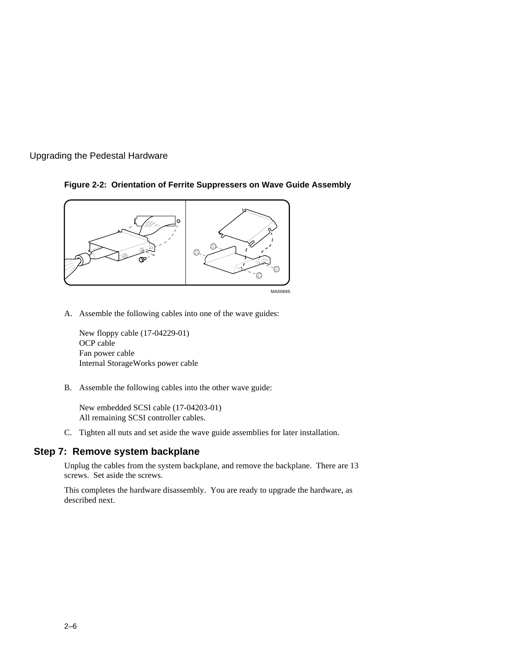#### **Figure 2-2: Orientation of Ferrite Suppressers on Wave Guide Assembly**



A. Assemble the following cables into one of the wave guides:

New floppy cable (17-04229-01) OCP cable Fan power cable Internal StorageWorks power cable

B. Assemble the following cables into the other wave guide:

New embedded SCSI cable (17-04203-01) All remaining SCSI controller cables.

C. Tighten all nuts and set aside the wave guide assemblies for later installation.

#### **Step 7: Remove system backplane**

Unplug the cables from the system backplane, and remove the backplane. There are 13 screws. Set aside the screws.

This completes the hardware disassembly. You are ready to upgrade the hardware, as described next.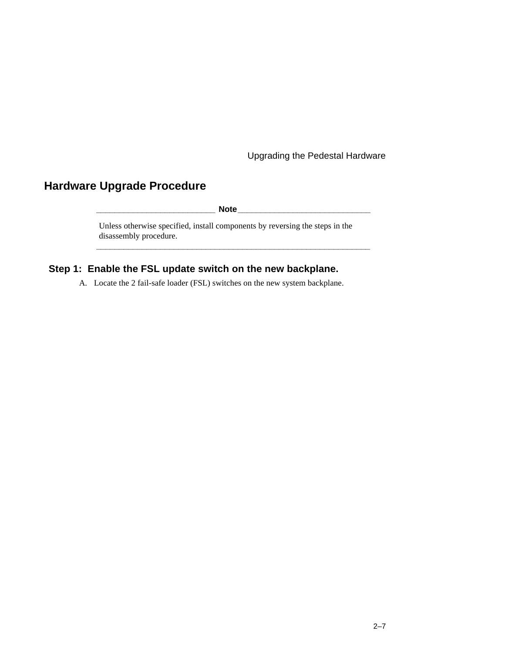## **Hardware Upgrade Procedure**

**\_\_\_\_\_\_\_\_\_\_\_\_\_\_\_\_\_\_\_\_\_\_\_\_\_\_ Note\_\_\_\_\_\_\_\_\_\_\_\_\_\_\_\_\_\_\_\_\_\_\_\_\_\_\_\_\_**

**\_\_\_\_\_\_\_\_\_\_\_\_\_\_\_\_\_\_\_\_\_\_\_\_\_\_\_\_\_\_\_\_\_\_\_\_\_\_\_\_\_\_\_\_\_\_\_\_\_\_\_\_\_\_\_\_\_\_\_\_**

Unless otherwise specified, install components by reversing the steps in the disassembly procedure.

## **Step 1: Enable the FSL update switch on the new backplane.**

A. Locate the 2 fail-safe loader (FSL) switches on the new system backplane.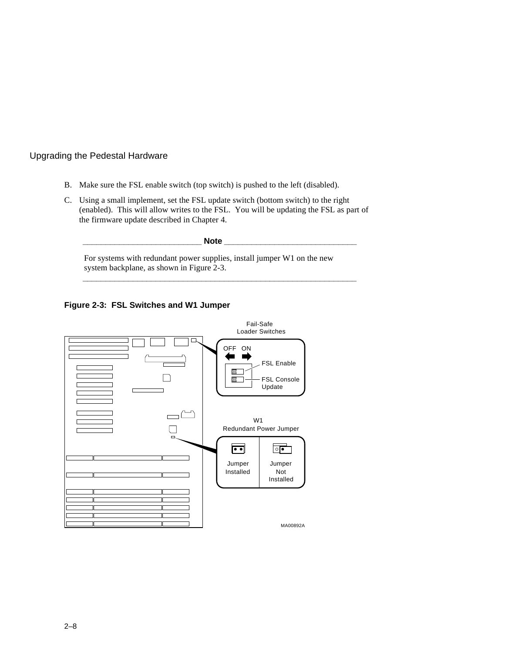- B. Make sure the FSL enable switch (top switch) is pushed to the left (disabled).
- C. Using a small implement, set the FSL update switch (bottom switch) to the right (enabled). This will allow writes to the FSL. You will be updating the FSL as part of the firmware update described in Chapter 4.

**\_\_\_\_\_\_\_\_\_\_\_\_\_\_\_\_\_\_\_\_\_\_\_\_\_\_ Note \_\_\_\_\_\_\_\_\_\_\_\_\_\_\_\_\_\_\_\_\_\_\_\_\_\_\_\_\_** For systems with redundant power supplies, install jumper W1 on the new system backplane, as shown in Figure 2-3.

**\_\_\_\_\_\_\_\_\_\_\_\_\_\_\_\_\_\_\_\_\_\_\_\_\_\_\_\_\_\_\_\_\_\_\_\_\_\_\_\_\_\_\_\_\_\_\_\_\_\_\_\_\_\_\_\_\_\_\_\_**

**Figure 2-3: FSL Switches and W1 Jumper**

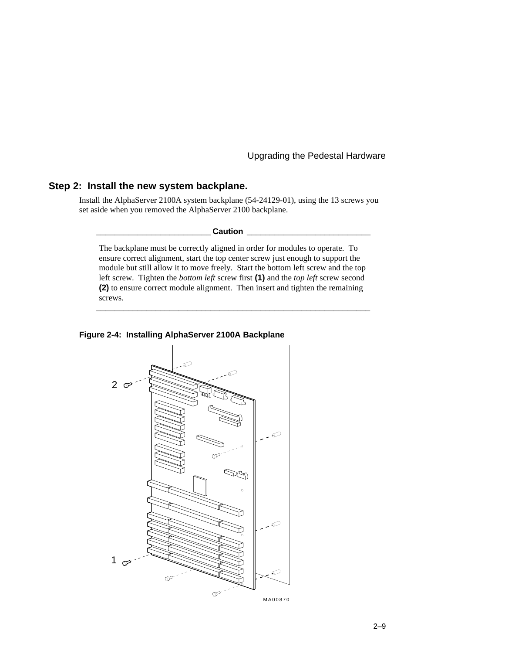#### **Step 2: Install the new system backplane.**

Install the AlphaServer 2100A system backplane (54-24129-01), using the 13 screws you set aside when you removed the AlphaServer 2100 backplane.

 $Caution$ 

The backplane must be correctly aligned in order for modules to operate. To ensure correct alignment, start the top center screw just enough to support the module but still allow it to move freely. Start the bottom left screw and the top left screw. Tighten the *bottom left* screw first **(1)** and the *top left* screw second **(2)** to ensure correct module alignment. Then insert and tighten the remaining screws.

**\_\_\_\_\_\_\_\_\_\_\_\_\_\_\_\_\_\_\_\_\_\_\_\_\_\_\_\_\_\_\_\_\_\_\_\_\_\_\_\_\_\_\_\_\_\_\_\_\_\_\_\_\_\_\_\_\_\_\_\_**

#### **Figure 2-4: Installing AlphaServer 2100A Backplane**

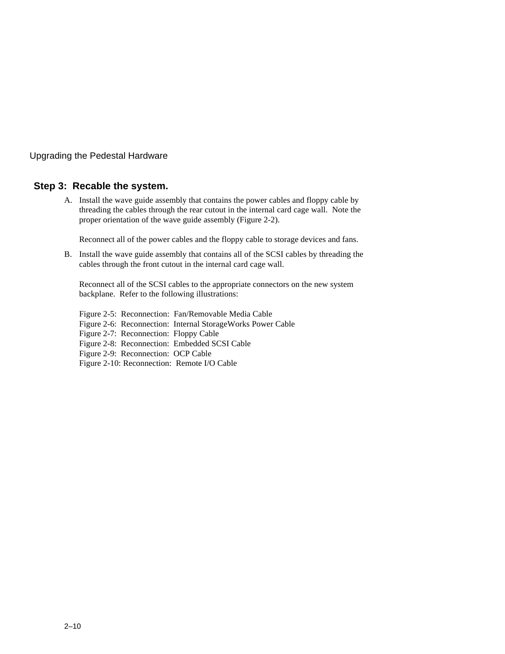#### **Step 3: Recable the system.**

A. Install the wave guide assembly that contains the power cables and floppy cable by threading the cables through the rear cutout in the internal card cage wall. Note the proper orientation of the wave guide assembly (Figure 2-2).

Reconnect all of the power cables and the floppy cable to storage devices and fans.

B. Install the wave guide assembly that contains all of the SCSI cables by threading the cables through the front cutout in the internal card cage wall.

Reconnect all of the SCSI cables to the appropriate connectors on the new system backplane. Refer to the following illustrations:

Figure 2-5: Reconnection: Fan/Removable Media Cable Figure 2-6: Reconnection: Internal StorageWorks Power Cable Figure 2-7: Reconnection: Floppy Cable Figure 2-8: Reconnection: Embedded SCSI Cable Figure 2-9: Reconnection: OCP Cable Figure 2-10: Reconnection: Remote I/O Cable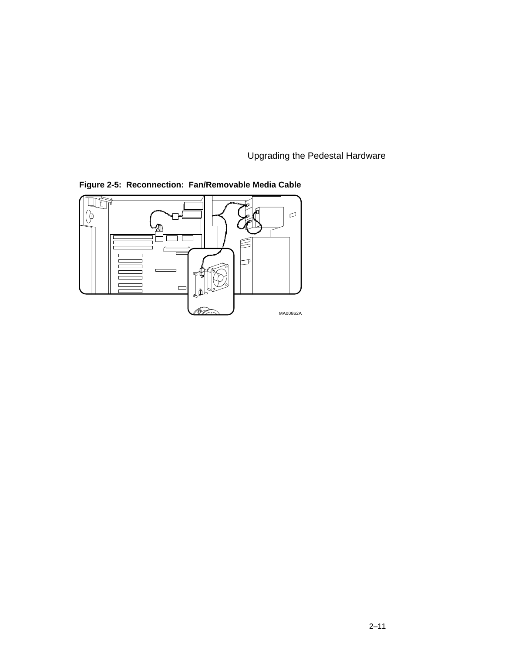

**Figure 2-5: Reconnection: Fan/Removable Media Cable**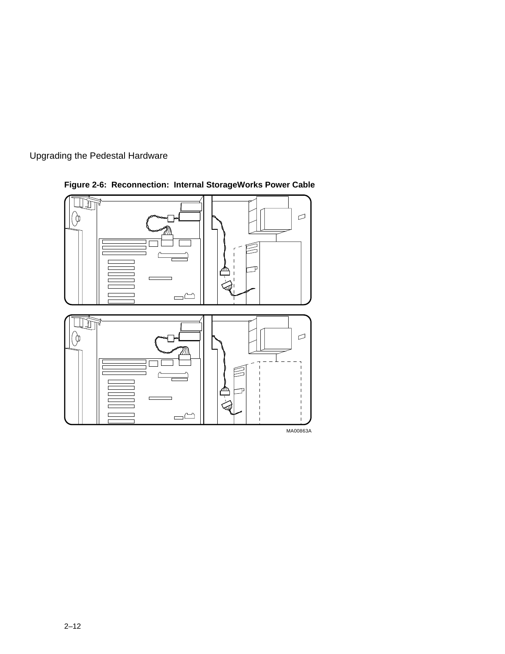



**Figure 2-6: Reconnection: Internal StorageWorks Power Cable**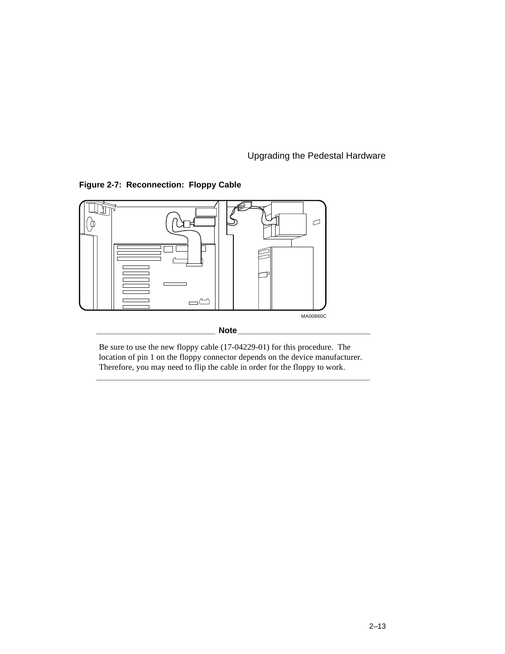**Figure 2-7: Reconnection: Floppy Cable**



Be sure to use the new floppy cable (17-04229-01) for this procedure. The location of pin 1 on the floppy connector depends on the device manufacturer. Therefore, you may need to flip the cable in order for the floppy to work.

**\_\_\_\_\_\_\_\_\_\_\_\_\_\_\_\_\_\_\_\_\_\_\_\_\_\_\_\_\_\_\_\_\_\_\_\_\_\_\_\_\_\_\_\_\_\_\_\_\_\_\_\_\_\_\_\_\_\_\_\_**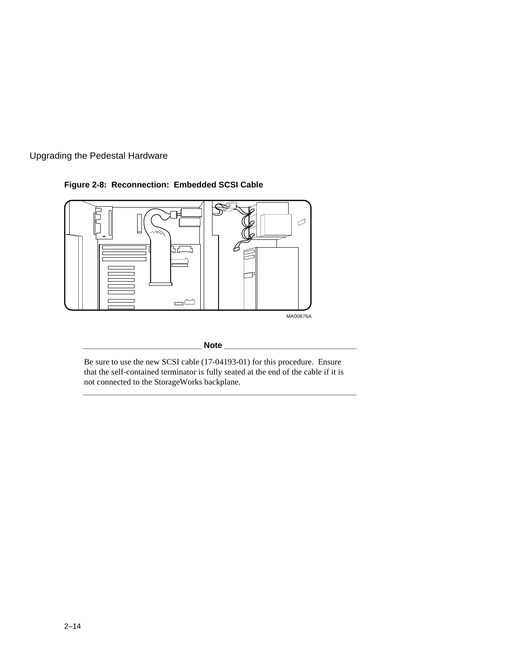





Be sure to use the new SCSI cable (17-04193-01) for this procedure. Ensure that the self-contained terminator is fully seated at the end of the cable if it is not connected to the StorageWorks backplane.

**\_\_\_\_\_\_\_\_\_\_\_\_\_\_\_\_\_\_\_\_\_\_\_\_\_\_\_\_\_\_\_\_\_\_\_\_\_\_\_\_\_\_\_\_\_\_\_\_\_\_\_\_\_\_\_\_\_\_\_\_**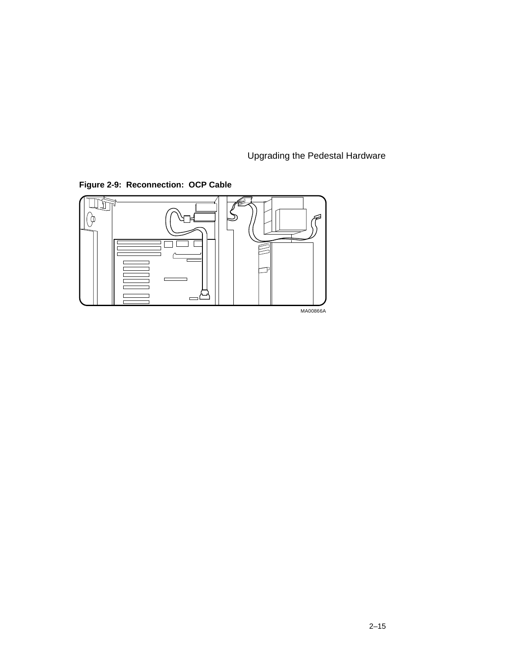**Figure 2-9: Reconnection: OCP Cable**

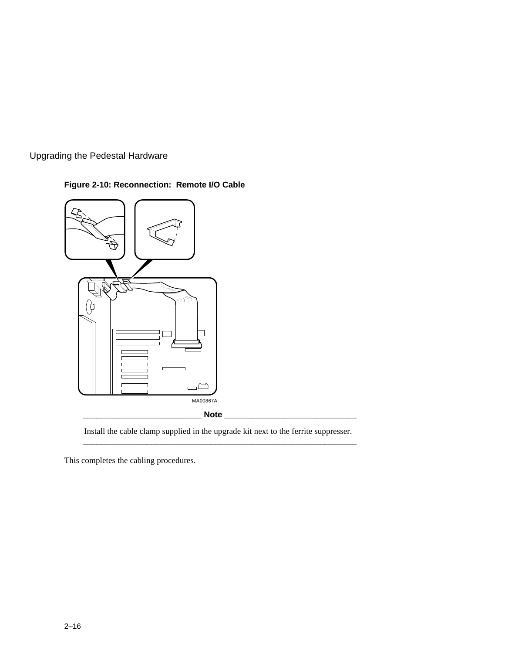## **Figure 2-10: Reconnection: Remote I/O Cable**



Install the cable clamp supplied in the upgrade kit next to the ferrite suppresser. **\_\_\_\_\_\_\_\_\_\_\_\_\_\_\_\_\_\_\_\_\_\_\_\_\_\_\_\_\_\_\_\_\_\_\_\_\_\_\_\_\_\_\_\_\_\_\_\_\_\_\_\_\_\_\_\_\_\_\_\_**

This completes the cabling procedures.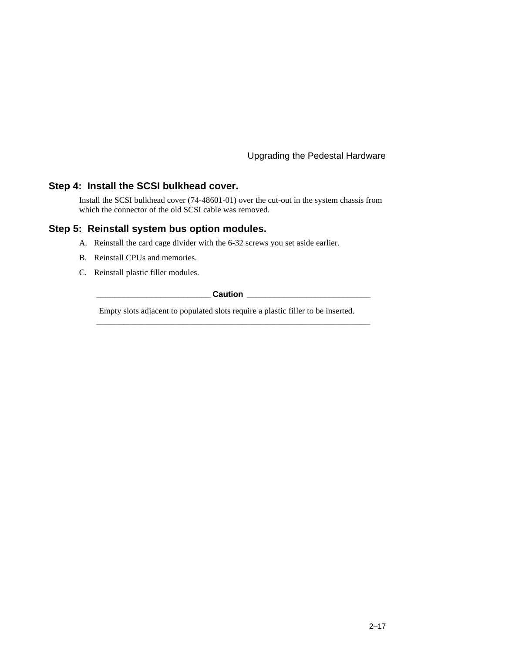#### **Step 4: Install the SCSI bulkhead cover.**

Install the SCSI bulkhead cover (74-48601-01) over the cut-out in the system chassis from which the connector of the old SCSI cable was removed.

## **Step 5: Reinstall system bus option modules.**

- A. Reinstall the card cage divider with the 6-32 screws you set aside earlier.
- B. Reinstall CPUs and memories.
- C. Reinstall plastic filler modules.

**\_\_\_\_\_\_\_\_\_\_\_\_\_\_\_\_\_\_\_\_\_\_\_\_\_ Caution \_\_\_\_\_\_\_\_\_\_\_\_\_\_\_\_\_\_\_\_\_\_\_\_\_\_\_**

**\_\_\_\_\_\_\_\_\_\_\_\_\_\_\_\_\_\_\_\_\_\_\_\_\_\_\_\_\_\_\_\_\_\_\_\_\_\_\_\_\_\_\_\_\_\_\_\_\_\_\_\_\_\_\_\_\_\_\_\_**

Empty slots adjacent to populated slots require a plastic filler to be inserted.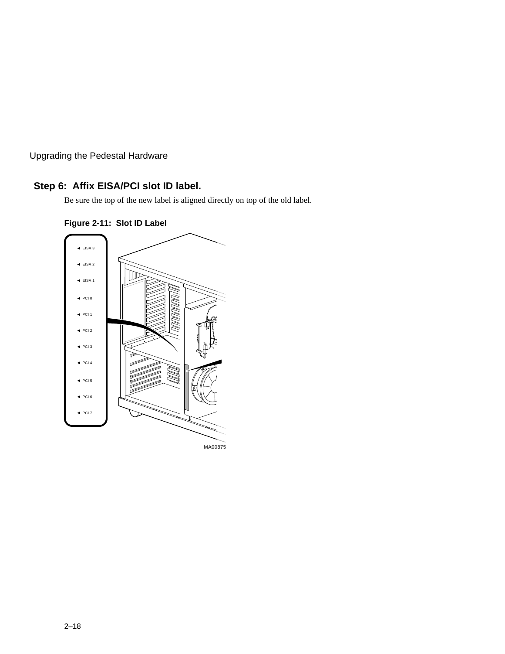## **Step 6: Affix EISA/PCI slot ID label.**

Be sure the top of the new label is aligned directly on top of the old label.



**Figure 2-11: Slot ID Label**

MA00875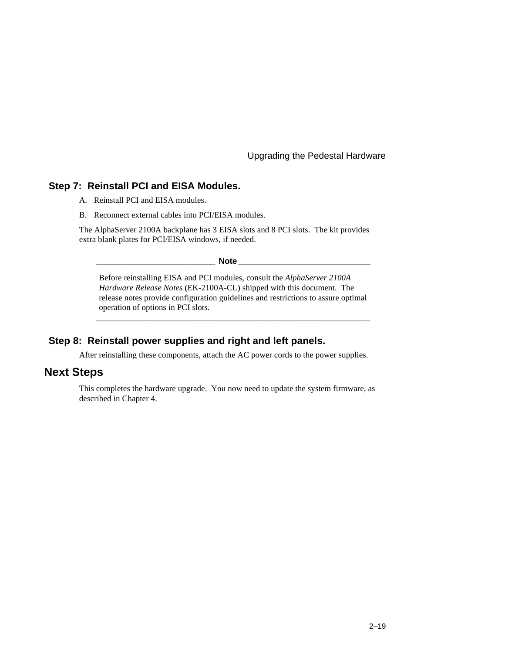#### **Step 7: Reinstall PCI and EISA Modules.**

- A. Reinstall PCI and EISA modules.
- B. Reconnect external cables into PCI/EISA modules.

The AlphaServer 2100A backplane has 3 EISA slots and 8 PCI slots. The kit provides extra blank plates for PCI/EISA windows, if needed.

 $\bf Note$ 

Before reinstalling EISA and PCI modules, consult the *AlphaServer 2100A Hardware Release Notes* (EK-2100A-CL) shipped with this document. The release notes provide configuration guidelines and restrictions to assure optimal operation of options in PCI slots.

**\_\_\_\_\_\_\_\_\_\_\_\_\_\_\_\_\_\_\_\_\_\_\_\_\_\_\_\_\_\_\_\_\_\_\_\_\_\_\_\_\_\_\_\_\_\_\_\_\_\_\_\_\_\_\_\_\_\_\_\_**

#### **Step 8: Reinstall power supplies and right and left panels.**

After reinstalling these components, attach the AC power cords to the power supplies.

## **Next Steps**

This completes the hardware upgrade. You now need to update the system firmware, as described in Chapter 4.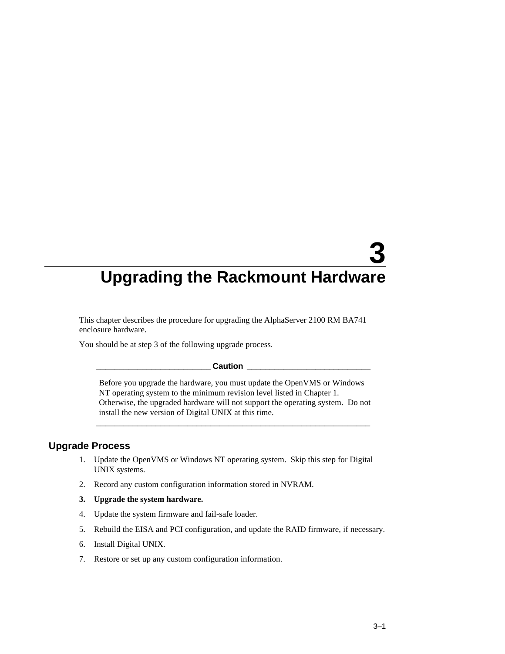# **3 Upgrading the Rackmount Hardware**

This chapter describes the procedure for upgrading the AlphaServer 2100 RM BA741 enclosure hardware.

You should be at step 3 of the following upgrade process.

#### **Caution**

Before you upgrade the hardware, you must update the OpenVMS or Windows NT operating system to the minimum revision level listed in Chapter 1. Otherwise, the upgraded hardware will not support the operating system. Do not install the new version of Digital UNIX at this time.

**\_\_\_\_\_\_\_\_\_\_\_\_\_\_\_\_\_\_\_\_\_\_\_\_\_\_\_\_\_\_\_\_\_\_\_\_\_\_\_\_\_\_\_\_\_\_\_\_\_\_\_\_\_\_\_\_\_\_\_\_**

#### **Upgrade Process**

- 1. Update the OpenVMS or Windows NT operating system. Skip this step for Digital UNIX systems.
- 2. Record any custom configuration information stored in NVRAM.
- **3. Upgrade the system hardware.**
- 4. Update the system firmware and fail-safe loader.
- 5. Rebuild the EISA and PCI configuration, and update the RAID firmware, if necessary.
- 6. Install Digital UNIX.
- 7. Restore or set up any custom configuration information.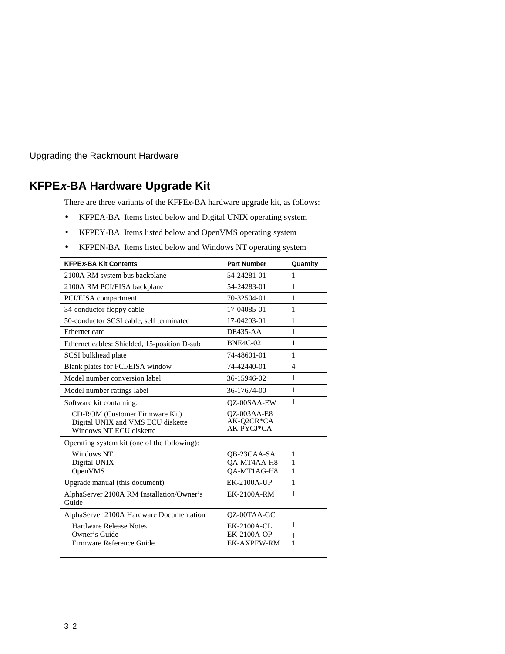Upgrading the Rackmount Hardware

## **KFPEx-BA Hardware Upgrade Kit**

There are three variants of the KFPE*x*-BA hardware upgrade kit, as follows:

- KFPEA-BA Items listed below and Digital UNIX operating system
- KFPEY-BA Items listed below and OpenVMS operating system
- KFPEN-BA Items listed below and Windows NT operating system

| <b>KFPEx-BA Kit Contents</b>                                                                          | <b>Part Number</b>                             | Quantity     |
|-------------------------------------------------------------------------------------------------------|------------------------------------------------|--------------|
| 2100A RM system bus backplane                                                                         | 54-24281-01                                    | 1            |
| 2100A RM PCI/EISA backplane                                                                           | 54-24283-01                                    | 1            |
| PCI/EISA compartment                                                                                  | 70-32504-01                                    | 1            |
| 34-conductor floppy cable                                                                             | 17-04085-01                                    | 1            |
| 50-conductor SCSI cable, self terminated                                                              | 17-04203-01                                    | 1            |
| Ethernet card                                                                                         | $DE435-AA$                                     | $\mathbf{1}$ |
| Ethernet cables: Shielded, 15-position D-sub                                                          | <b>BNE4C-02</b>                                | 1            |
| SCSI bulkhead plate                                                                                   | 74-48601-01                                    | 1            |
| Blank plates for PCI/EISA window                                                                      | 74-42440-01                                    | 4            |
| Model number conversion label                                                                         | 36-15946-02                                    | 1            |
| Model number ratings label                                                                            | 36-17674-00                                    | 1            |
| Software kit containing:                                                                              | <b>OZ-00SAA-EW</b>                             | 1            |
| <b>CD-ROM</b> (Customer Firmware Kit)<br>Digital UNIX and VMS ECU diskette<br>Windows NT ECU diskette | <b>OZ-003AA-E8</b><br>AK-Q2CR*CA<br>AK-PYCJ*CA |              |
| Operating system kit (one of the following):                                                          |                                                |              |
| Windows NT                                                                                            | OB-23CAA-SA                                    | 1            |
| Digital UNIX                                                                                          | QA-MT4AA-H8                                    | 1            |
| OpenVMS                                                                                               | QA-MT1AG-H8                                    | 1            |
| Upgrade manual (this document)                                                                        | <b>EK-2100A-UP</b>                             | $\mathbf{1}$ |
| AlphaServer 2100A RM Installation/Owner's<br>Guide                                                    | <b>EK-2100A-RM</b>                             | 1            |
| AlphaServer 2100A Hardware Documentation                                                              | QZ-00TAA-GC                                    |              |
| <b>Hardware Release Notes</b>                                                                         | <b>EK-2100A-CL</b>                             | 1            |
| Owner's Guide                                                                                         | <b>EK-2100A-OP</b>                             | 1            |
| Firmware Reference Guide                                                                              | <b>EK-AXPFW-RM</b>                             | 1            |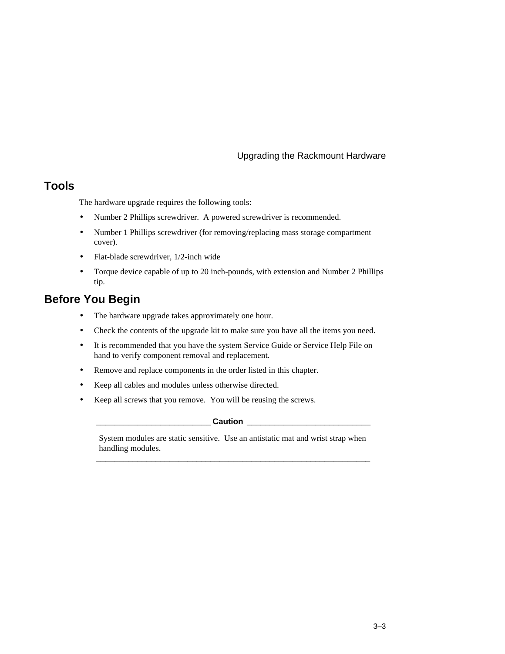# **Tools**

The hardware upgrade requires the following tools:

- Number 2 Phillips screwdriver. A powered screwdriver is recommended.
- Number 1 Phillips screwdriver (for removing/replacing mass storage compartment cover).
- Flat-blade screwdriver, 1/2-inch wide
- Torque device capable of up to 20 inch-pounds, with extension and Number 2 Phillips tip.

# **Before You Begin**

- The hardware upgrade takes approximately one hour.
- Check the contents of the upgrade kit to make sure you have all the items you need.
- It is recommended that you have the system Service Guide or Service Help File on hand to verify component removal and replacement.
- Remove and replace components in the order listed in this chapter.
- Keep all cables and modules unless otherwise directed.
- Keep all screws that you remove. You will be reusing the screws.

#### **Caution \_\_\_\_\_\_\_\_\_\_\_\_\_\_\_\_\_\_\_\_\_\_\_\_\_\_\_\_\_\_\_\_**

System modules are static sensitive. Use an antistatic mat and wrist strap when handling modules. **\_\_\_\_\_\_\_\_\_\_\_\_\_\_\_\_\_\_\_\_\_\_\_\_\_\_\_\_\_\_\_\_\_\_\_\_\_\_\_\_\_\_\_\_\_\_\_\_\_\_\_\_\_\_\_\_\_\_\_\_**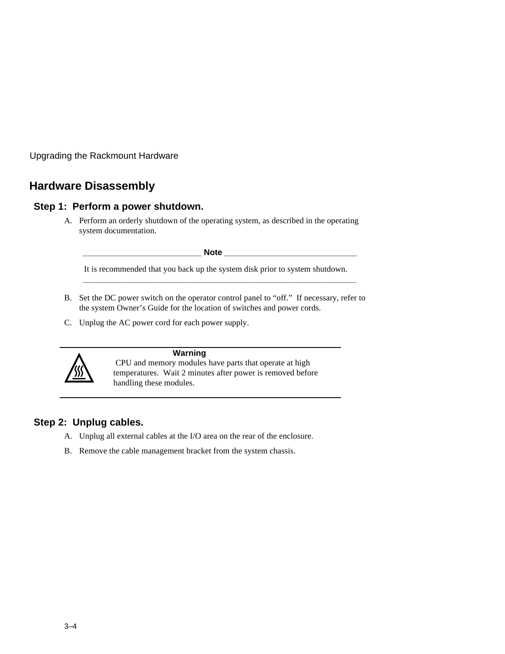# **Hardware Disassembly**

## **Step 1: Perform a power shutdown.**

A. Perform an orderly shutdown of the operating system, as described in the operating system documentation.

**\_\_\_\_\_\_\_\_\_\_\_\_\_\_\_\_\_\_\_\_\_\_\_\_\_\_ Note \_\_\_\_\_\_\_\_\_\_\_\_\_\_\_\_\_\_\_\_\_\_\_\_\_\_\_\_\_**

It is recommended that you back up the system disk prior to system shutdown. **\_\_\_\_\_\_\_\_\_\_\_\_\_\_\_\_\_\_\_\_\_\_\_\_\_\_\_\_\_\_\_\_\_\_\_\_\_\_\_\_\_\_\_\_\_\_\_\_\_\_\_\_\_\_\_\_\_\_\_\_**

- B. Set the DC power switch on the operator control panel to "off." If necessary, refer to the system Owner's Guide for the location of switches and power cords.
- C. Unplug the AC power cord for each power supply.



#### **Warning**

 CPU and memory modules have parts that operate at high temperatures. Wait 2 minutes after power is removed before handling these modules.

# **Step 2: Unplug cables.**

- A. Unplug all external cables at the I/O area on the rear of the enclosure.
- B. Remove the cable management bracket from the system chassis.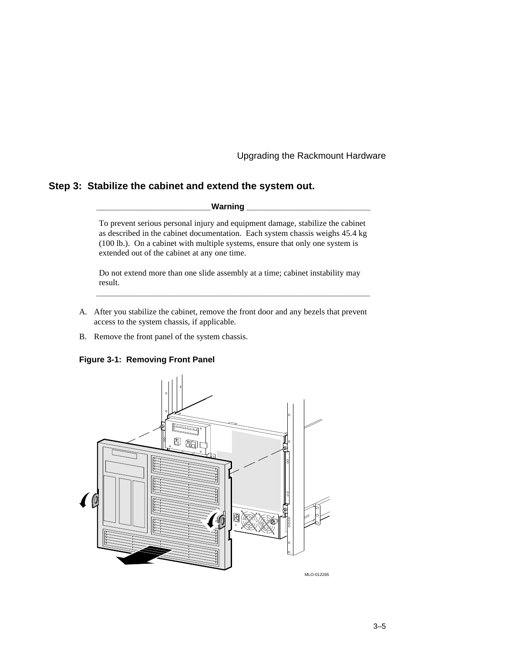## **Step 3: Stabilize the cabinet and extend the system out.**

**\_\_\_\_\_\_\_\_\_\_\_\_\_\_\_\_\_\_\_\_\_\_\_\_\_Warning \_\_\_\_\_\_\_\_\_\_\_\_\_\_\_\_\_\_\_\_\_\_\_\_\_\_\_**

To prevent serious personal injury and equipment damage, stabilize the cabinet as described in the cabinet documentation. Each system chassis weighs 45.4 kg (100 lb.). On a cabinet with multiple systems, ensure that only one system is extended out of the cabinet at any one time.

Do not extend more than one slide assembly at a time; cabinet instability may result.

**\_\_\_\_\_\_\_\_\_\_\_\_\_\_\_\_\_\_\_\_\_\_\_\_\_\_\_\_\_\_\_\_\_\_\_\_\_\_\_\_\_\_\_\_\_\_\_\_\_\_\_\_\_\_\_\_\_\_\_\_**

- A. After you stabilize the cabinet, remove the front door and any bezels that prevent access to the system chassis, if applicable.
- B. Remove the front panel of the system chassis.

#### **Figure 3-1: Removing Front Panel**

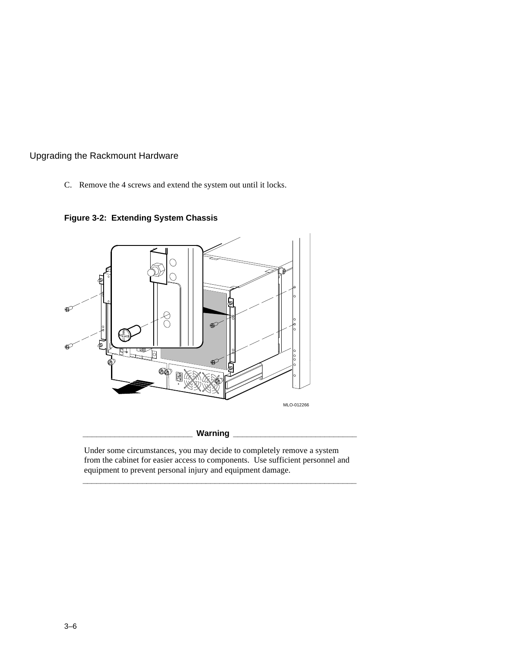C. Remove the 4 screws and extend the system out until it locks.



**Figure 3-2: Extending System Chassis**

Under some circumstances, you may decide to completely remove a system from the cabinet for easier access to components. Use sufficient personnel and equipment to prevent personal injury and equipment damage.

**\_\_\_\_\_\_\_\_\_\_\_\_\_\_\_\_\_\_\_\_\_\_\_\_\_\_\_\_\_\_\_\_\_\_\_\_\_\_\_\_\_\_\_\_\_\_\_\_\_\_\_\_\_\_\_\_\_\_\_\_**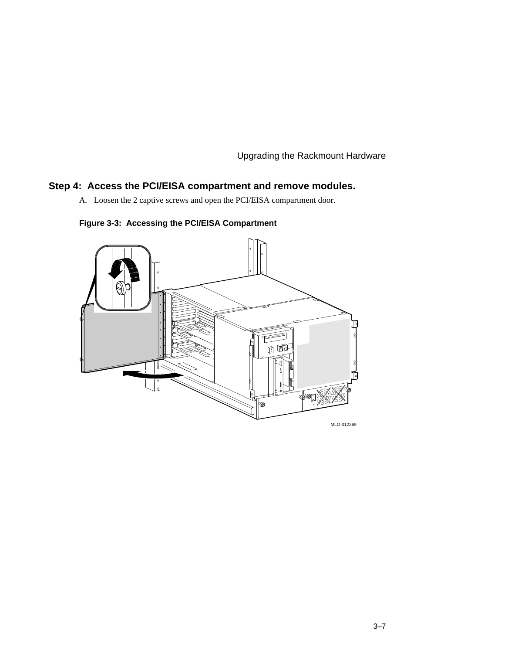## **Step 4: Access the PCI/EISA compartment and remove modules.**

A. Loosen the 2 captive screws and open the PCI/EISA compartment door.



**Figure 3-3: Accessing the PCI/EISA Compartment**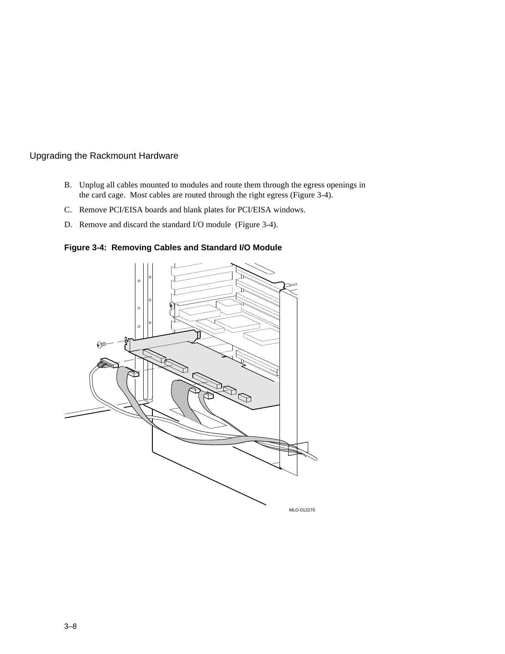- B. Unplug all cables mounted to modules and route them through the egress openings in the card cage. Most cables are routed through the right egress (Figure 3-4).
- C. Remove PCI/EISA boards and blank plates for PCI/EISA windows.
- D. Remove and discard the standard I/O module (Figure 3-4).

**Figure 3-4: Removing Cables and Standard I/O Module**

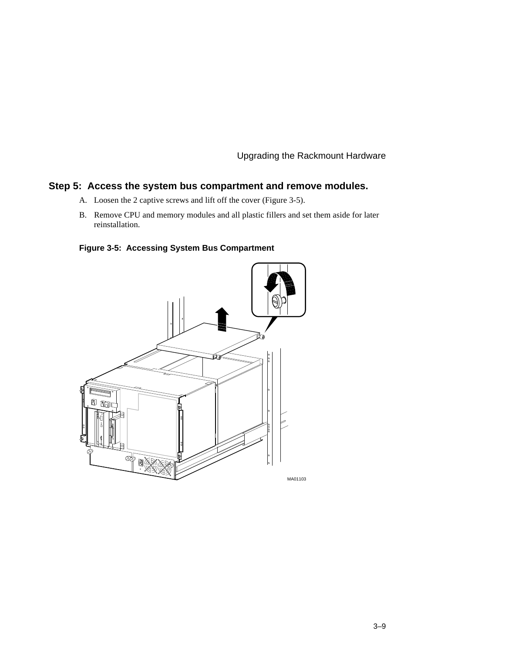## **Step 5: Access the system bus compartment and remove modules.**

- A. Loosen the 2 captive screws and lift off the cover (Figure 3-5).
- B. Remove CPU and memory modules and all plastic fillers and set them aside for later reinstallation.

**Figure 3-5: Accessing System Bus Compartment**

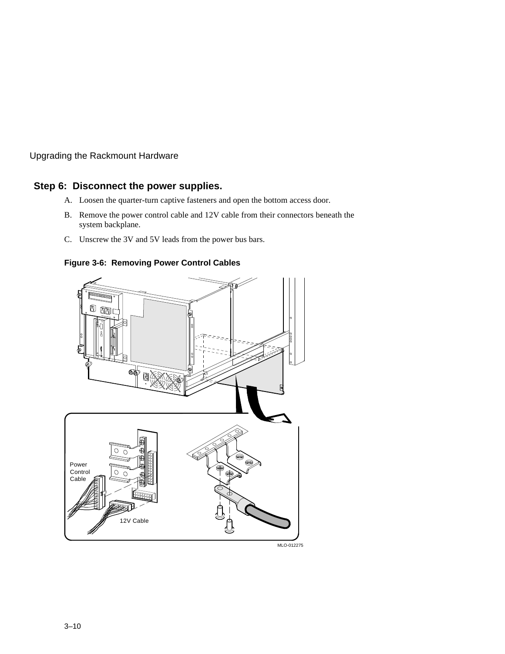## **Step 6: Disconnect the power supplies.**

- A. Loosen the quarter-turn captive fasteners and open the bottom access door.
- B. Remove the power control cable and 12V cable from their connectors beneath the system backplane.
- C. Unscrew the 3V and 5V leads from the power bus bars.

**Figure 3-6: Removing Power Control Cables**



MLO-012275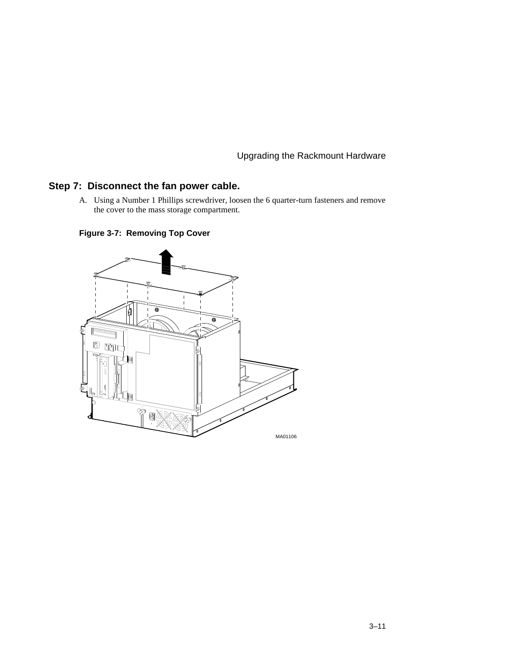# **Step 7: Disconnect the fan power cable.**

A. Using a Number 1 Phillips screwdriver, loosen the 6 quarter-turn fasteners and remove the cover to the mass storage compartment.



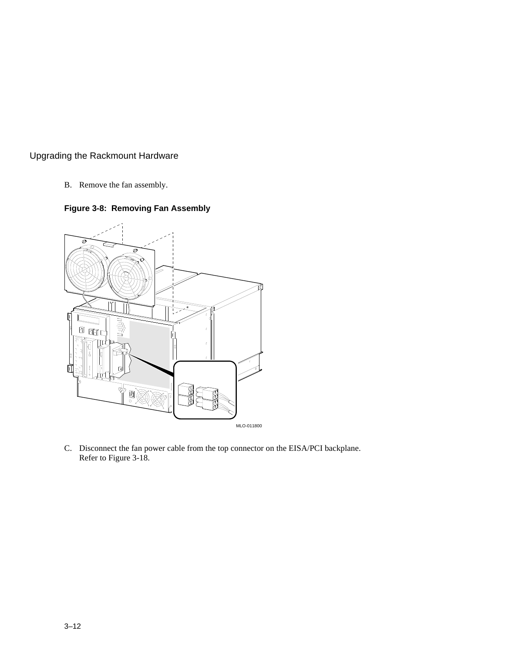B. Remove the fan assembly.





C. Disconnect the fan power cable from the top connector on the EISA/PCI backplane. Refer to Figure 3-18.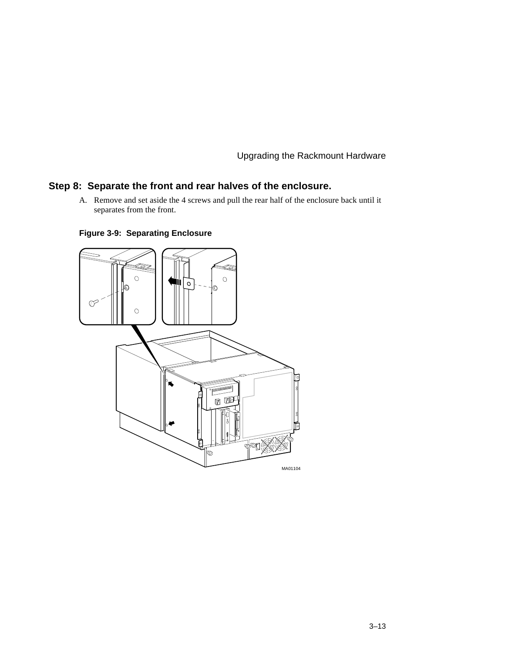## **Step 8: Separate the front and rear halves of the enclosure.**

A. Remove and set aside the 4 screws and pull the rear half of the enclosure back until it separates from the front.



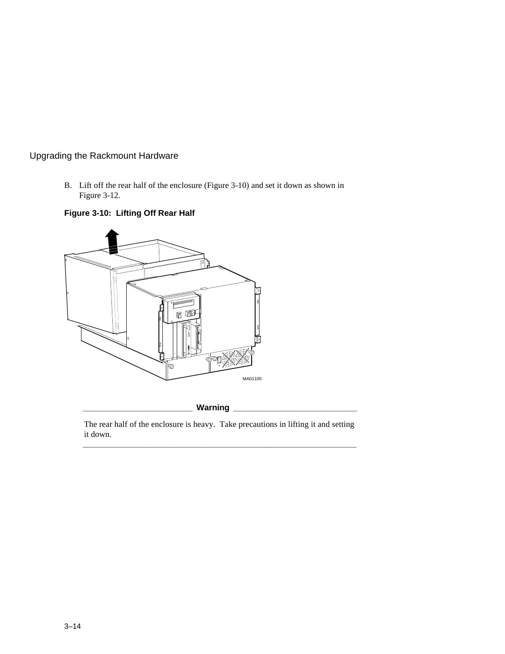B. Lift off the rear half of the enclosure (Figure 3-10) and set it down as shown in Figure 3-12.





Warning \_

The rear half of the enclosure is heavy. Take precautions in lifting it and setting it down. **\_\_\_\_\_\_\_\_\_\_\_\_\_\_\_\_\_\_\_\_\_\_\_\_\_\_\_\_\_\_\_\_\_\_\_\_\_\_\_\_\_\_\_\_\_\_\_\_\_\_\_\_\_\_\_\_\_\_\_\_**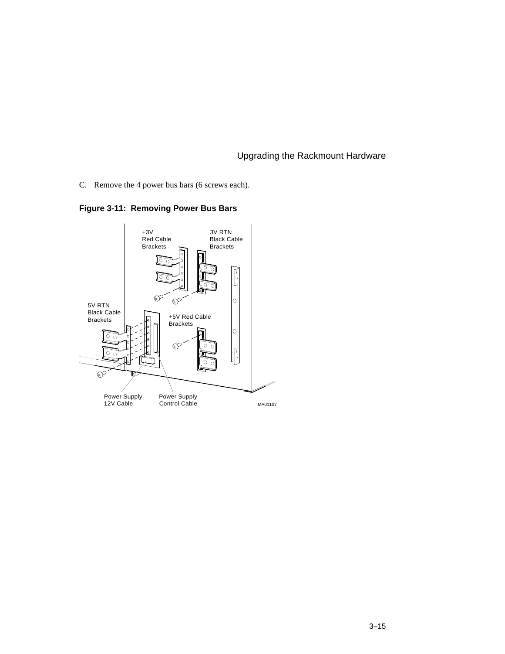C. Remove the 4 power bus bars (6 screws each).



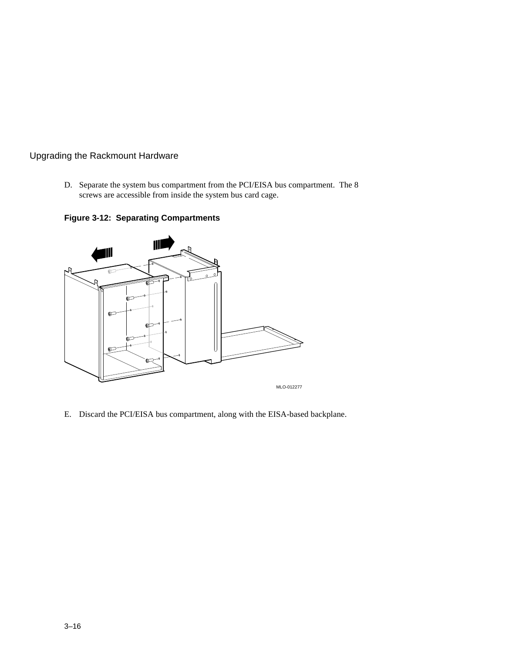D. Separate the system bus compartment from the PCI/EISA bus compartment. The 8 screws are accessible from inside the system bus card cage.

**Figure 3-12: Separating Compartments**



E. Discard the PCI/EISA bus compartment, along with the EISA-based backplane.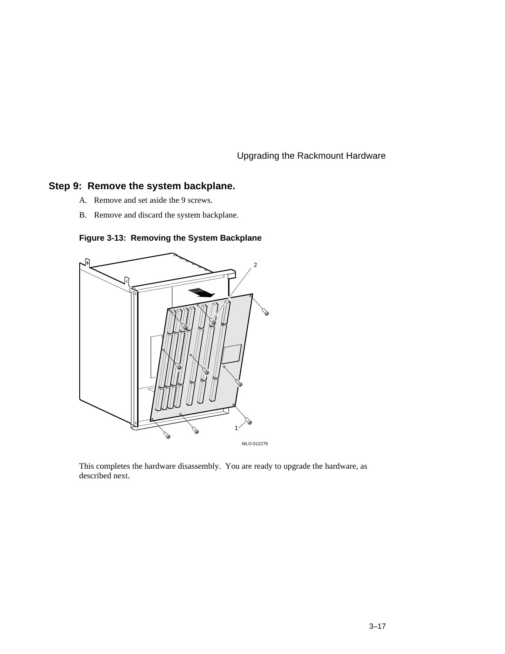## **Step 9: Remove the system backplane.**

- A. Remove and set aside the 9 screws.
- B. Remove and discard the system backplane.



## **Figure 3-13: Removing the System Backplane**

This completes the hardware disassembly. You are ready to upgrade the hardware, as described next.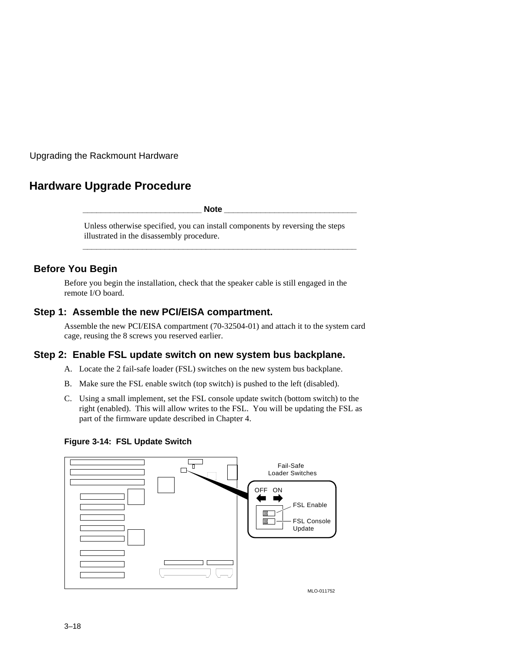# **Hardware Upgrade Procedure**

**\_\_\_\_\_\_\_\_\_\_\_\_\_\_\_\_\_\_\_\_\_\_\_\_\_\_ Note \_\_\_\_\_\_\_\_\_\_\_\_\_\_\_\_\_\_\_\_\_\_\_\_\_\_\_\_\_**

Unless otherwise specified, you can install components by reversing the steps illustrated in the disassembly procedure.

**\_\_\_\_\_\_\_\_\_\_\_\_\_\_\_\_\_\_\_\_\_\_\_\_\_\_\_\_\_\_\_\_\_\_\_\_\_\_\_\_\_\_\_\_\_\_\_\_\_\_\_\_\_\_\_\_\_\_\_\_**

## **Before You Begin**

Before you begin the installation, check that the speaker cable is still engaged in the remote I/O board.

## **Step 1: Assemble the new PCI/EISA compartment.**

Assemble the new PCI/EISA compartment (70-32504-01) and attach it to the system card cage, reusing the 8 screws you reserved earlier.

## **Step 2: Enable FSL update switch on new system bus backplane.**

- A. Locate the 2 fail-safe loader (FSL) switches on the new system bus backplane.
- B. Make sure the FSL enable switch (top switch) is pushed to the left (disabled).
- C. Using a small implement, set the FSL console update switch (bottom switch) to the right (enabled). This will allow writes to the FSL. You will be updating the FSL as part of the firmware update described in Chapter 4.

#### **Figure 3-14: FSL Update Switch**

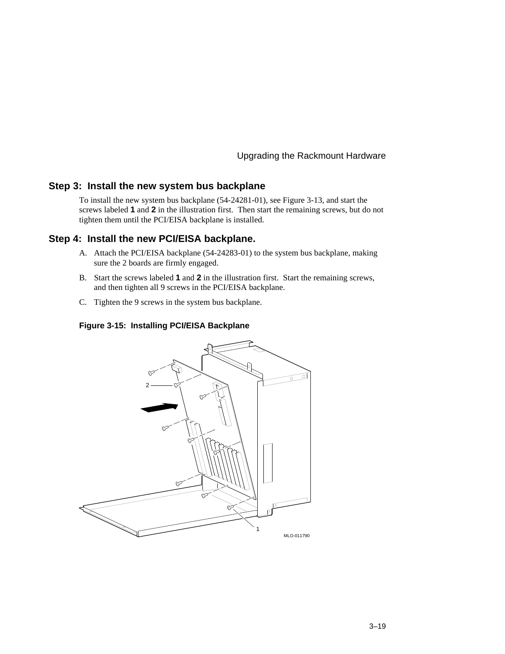#### **Step 3: Install the new system bus backplane**

To install the new system bus backplane (54-24281-01), see Figure 3-13, and start the screws labeled **1** and **2** in the illustration first. Then start the remaining screws, but do not tighten them until the PCI/EISA backplane is installed.

#### **Step 4: Install the new PCI/EISA backplane.**

- A. Attach the PCI/EISA backplane (54-24283-01) to the system bus backplane, making sure the 2 boards are firmly engaged.
- B. Start the screws labeled **1** and **2** in the illustration first. Start the remaining screws, and then tighten all 9 screws in the PCI/EISA backplane.
- C. Tighten the 9 screws in the system bus backplane.

#### **Figure 3-15: Installing PCI/EISA Backplane**

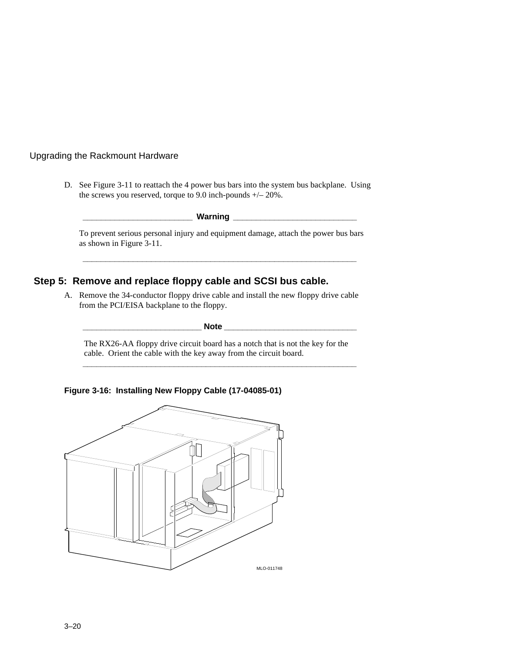D. See Figure 3-11 to reattach the 4 power bus bars into the system bus backplane. Using the screws you reserved, torque to 9.0 inch-pounds +/– 20%.

**\_\_\_\_\_\_\_\_\_\_\_\_\_\_\_\_\_\_\_\_\_\_\_\_ Warning \_\_\_\_\_\_\_\_\_\_\_\_\_\_\_\_\_\_\_\_\_\_\_\_\_\_\_**

To prevent serious personal injury and equipment damage, attach the power bus bars as shown in Figure 3-11.

**\_\_\_\_\_\_\_\_\_\_\_\_\_\_\_\_\_\_\_\_\_\_\_\_\_\_\_\_\_\_\_\_\_\_\_\_\_\_\_\_\_\_\_\_\_\_\_\_\_\_\_\_\_\_\_\_\_\_\_\_**

## **Step 5: Remove and replace floppy cable and SCSI bus cable.**

A. Remove the 34-conductor floppy drive cable and install the new floppy drive cable from the PCI/EISA backplane to the floppy.

**\_\_\_\_\_\_\_\_\_\_\_\_\_\_\_\_\_\_\_\_\_\_\_\_\_\_ Note \_\_\_\_\_\_\_\_\_\_\_\_\_\_\_\_\_\_\_\_\_\_\_\_\_\_\_\_\_**

The RX26-AA floppy drive circuit board has a notch that is not the key for the cable. Orient the cable with the key away from the circuit board. **\_\_\_\_\_\_\_\_\_\_\_\_\_\_\_\_\_\_\_\_\_\_\_\_\_\_\_\_\_\_\_\_\_\_\_\_\_\_\_\_\_\_\_\_\_\_\_\_\_\_\_\_\_\_\_\_\_\_\_\_**

**Figure 3-16: Installing New Floppy Cable (17-04085-01)**

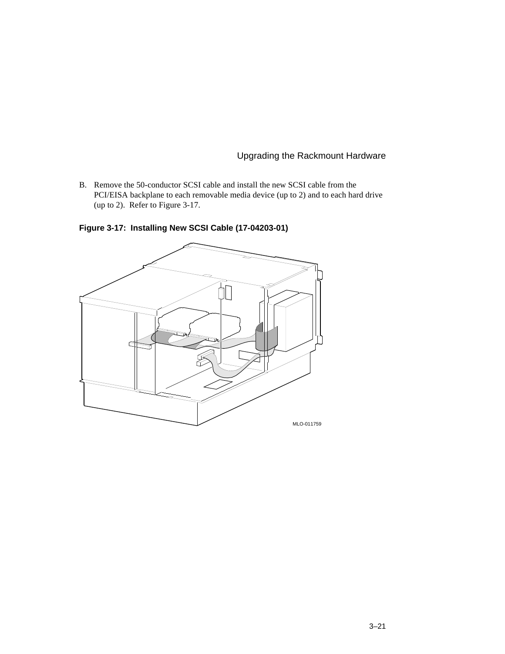B. Remove the 50-conductor SCSI cable and install the new SCSI cable from the PCI/EISA backplane to each removable media device (up to 2) and to each hard drive (up to 2). Refer to Figure 3-17.



**Figure 3-17: Installing New SCSI Cable (17-04203-01)**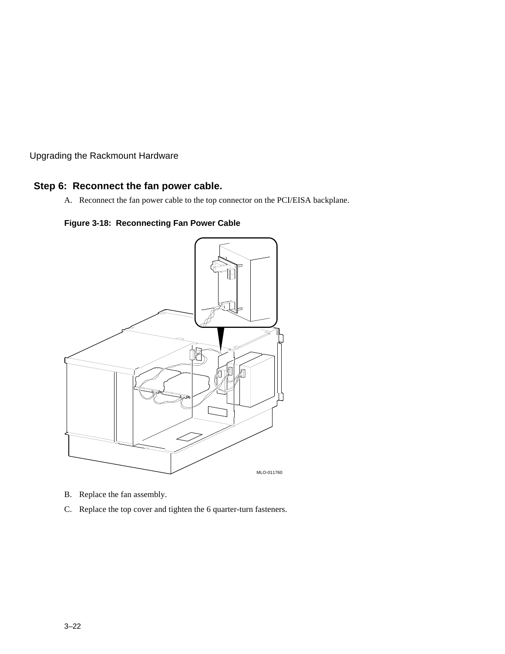## **Step 6: Reconnect the fan power cable.**

A. Reconnect the fan power cable to the top connector on the PCI/EISA backplane.

**Figure 3-18: Reconnecting Fan Power Cable**



- B. Replace the fan assembly.
- C. Replace the top cover and tighten the 6 quarter-turn fasteners.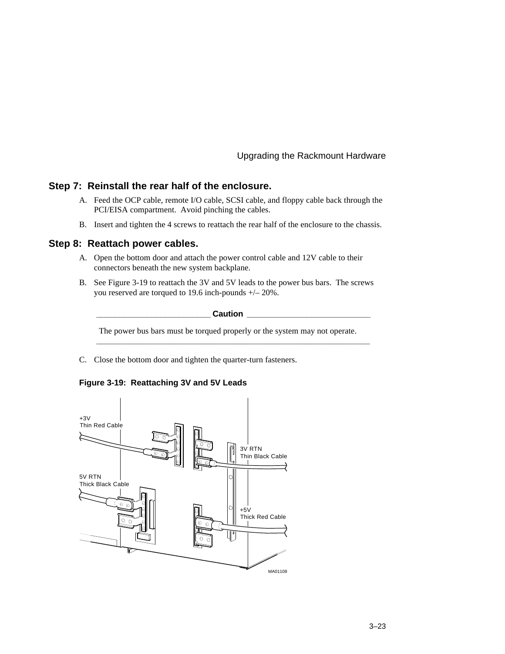#### **Step 7: Reinstall the rear half of the enclosure.**

- A. Feed the OCP cable, remote I/O cable, SCSI cable, and floppy cable back through the PCI/EISA compartment. Avoid pinching the cables.
- B. Insert and tighten the 4 screws to reattach the rear half of the enclosure to the chassis.

#### **Step 8: Reattach power cables.**

- A. Open the bottom door and attach the power control cable and 12V cable to their connectors beneath the new system backplane.
- B. See Figure 3-19 to reattach the 3V and 5V leads to the power bus bars. The screws you reserved are torqued to 19.6 inch-pounds +/– 20%.

 $\sf {Caution}$ 

The power bus bars must be torqued properly or the system may not operate.

**\_\_\_\_\_\_\_\_\_\_\_\_\_\_\_\_\_\_\_\_\_\_\_\_\_\_\_\_\_\_\_\_\_\_\_\_\_\_\_\_\_\_\_\_\_\_\_\_\_\_\_\_\_\_\_\_\_\_\_\_**

C. Close the bottom door and tighten the quarter-turn fasteners.

#### **Figure 3-19: Reattaching 3V and 5V Leads**

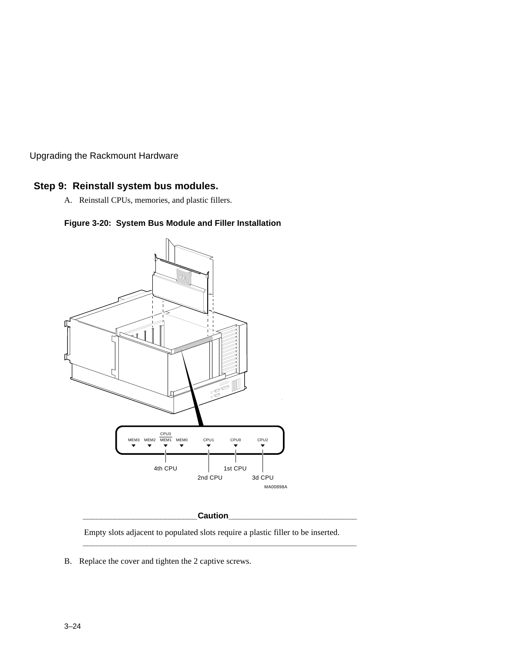## **Step 9: Reinstall system bus modules.**

A. Reinstall CPUs, memories, and plastic fillers.





#### **\_\_\_\_\_\_\_\_\_\_\_\_\_\_\_\_\_\_\_\_\_\_\_\_\_Caution\_\_\_\_\_\_\_\_\_\_\_\_\_\_\_\_\_\_\_\_\_\_\_\_\_\_\_\_**

Empty slots adjacent to populated slots require a plastic filler to be inserted.

**\_\_\_\_\_\_\_\_\_\_\_\_\_\_\_\_\_\_\_\_\_\_\_\_\_\_\_\_\_\_\_\_\_\_\_\_\_\_\_\_\_\_\_\_\_\_\_\_\_\_\_\_\_\_\_\_\_\_\_\_**

B. Replace the cover and tighten the 2 captive screws.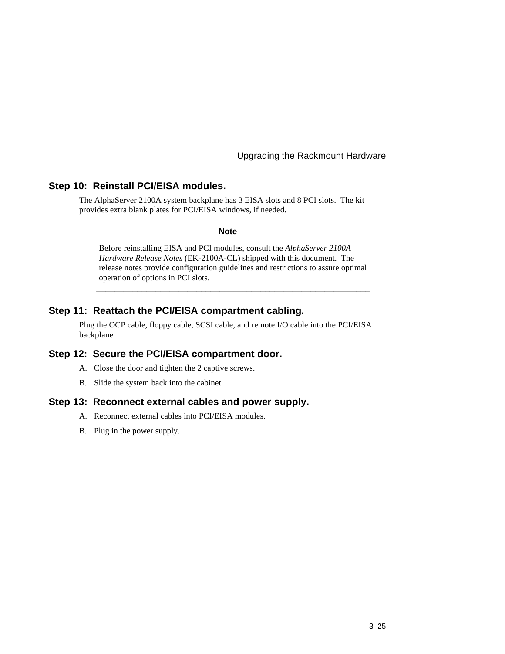#### **Step 10: Reinstall PCI/EISA modules.**

The AlphaServer 2100A system backplane has 3 EISA slots and 8 PCI slots. The kit provides extra blank plates for PCI/EISA windows, if needed.

**\_\_\_\_\_\_\_\_\_\_\_\_\_\_\_\_\_\_\_\_\_\_\_\_\_\_ Note\_\_\_\_\_\_\_\_\_\_\_\_\_\_\_\_\_\_\_\_\_\_\_\_\_\_\_\_\_**

Before reinstalling EISA and PCI modules, consult the *AlphaServer 2100A Hardware Release Notes* (EK-2100A-CL) shipped with this document. The release notes provide configuration guidelines and restrictions to assure optimal operation of options in PCI slots.

**\_\_\_\_\_\_\_\_\_\_\_\_\_\_\_\_\_\_\_\_\_\_\_\_\_\_\_\_\_\_\_\_\_\_\_\_\_\_\_\_\_\_\_\_\_\_\_\_\_\_\_\_\_\_\_\_\_\_\_\_**

#### **Step 11: Reattach the PCI/EISA compartment cabling.**

Plug the OCP cable, floppy cable, SCSI cable, and remote I/O cable into the PCI/EISA backplane.

## **Step 12: Secure the PCI/EISA compartment door.**

- A. Close the door and tighten the 2 captive screws.
- B. Slide the system back into the cabinet.

#### **Step 13: Reconnect external cables and power supply.**

- A. Reconnect external cables into PCI/EISA modules.
- B. Plug in the power supply.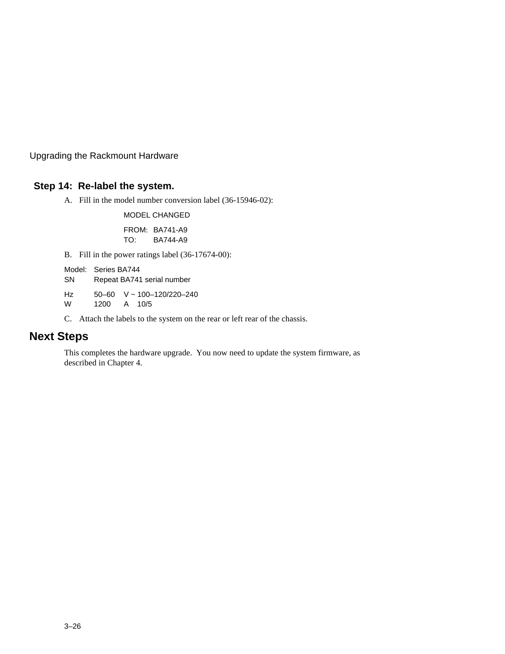# **Step 14: Re-label the system.**

A. Fill in the model number conversion label (36-15946-02):

MODEL CHANGED

FROM: BA741-A9 TO: BA744-A9

B. Fill in the power ratings label (36-17674-00):

Model: Series BA744

SN Repeat BA741 serial number

Hz 50–60 V ~ 100–120/220–240

W 1200 A 10/5

C. Attach the labels to the system on the rear or left rear of the chassis.

# **Next Steps**

This completes the hardware upgrade. You now need to update the system firmware, as described in Chapter 4.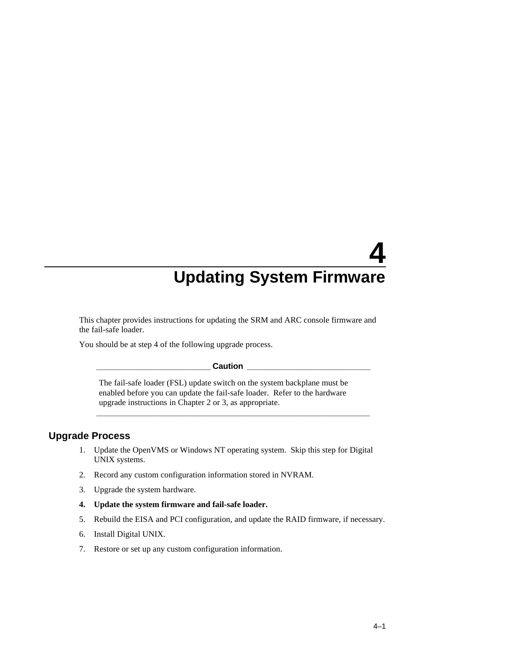This chapter provides instructions for updating the SRM and ARC console firmware and the fail-safe loader.

You should be at step 4 of the following upgrade process.

#### $\sf {Caution}$

**\_\_\_\_\_\_\_\_\_\_\_\_\_\_\_\_\_\_\_\_\_\_\_\_\_\_\_\_\_\_\_\_\_\_\_\_\_\_\_\_\_\_\_\_\_\_\_\_\_\_\_\_\_\_\_\_\_\_\_\_**

The fail-safe loader (FSL) update switch on the system backplane must be enabled before you can update the fail-safe loader. Refer to the hardware upgrade instructions in Chapter 2 or 3, as appropriate.

#### **Upgrade Process**

- 1. Update the OpenVMS or Windows NT operating system. Skip this step for Digital UNIX systems.
- 2. Record any custom configuration information stored in NVRAM.
- 3. Upgrade the system hardware.
- **4. Update the system firmware and fail-safe loader.**
- 5. Rebuild the EISA and PCI configuration, and update the RAID firmware, if necessary.
- 6. Install Digital UNIX.
- 7. Restore or set up any custom configuration information.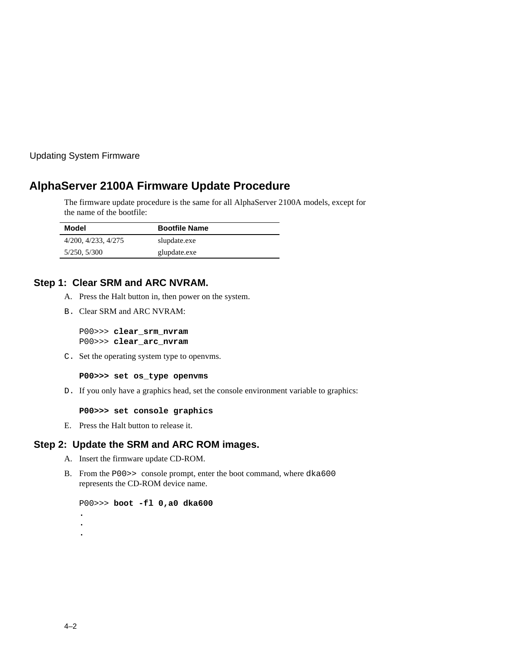# **AlphaServer 2100A Firmware Update Procedure**

The firmware update procedure is the same for all AlphaServer 2100A models, except for the name of the bootfile:

| Model               | <b>Bootfile Name</b> |
|---------------------|----------------------|
| 4/200, 4/233, 4/275 | slupdate.exe         |
| 5/250, 5/300        | glupdate.exe         |

## **Step 1: Clear SRM and ARC NVRAM.**

- A. Press the Halt button in, then power on the system.
- B. Clear SRM and ARC NVRAM:

P00>>> **clear\_srm\_nvram** P00>>> **clear\_arc\_nvram**

C. Set the operating system type to openvms.

**P00>>> set os\_type openvms**

D. If you only have a graphics head, set the console environment variable to graphics:

**P00>>> set console graphics**

E. Press the Halt button to release it.

#### **Step 2: Update the SRM and ARC ROM images.**

A. Insert the firmware update CD-ROM.

B. From the P00>> console prompt, enter the boot command, where dka600 represents the CD-ROM device name.

```
P00>>> boot -fl 0,a0 dka600
.
.
.
```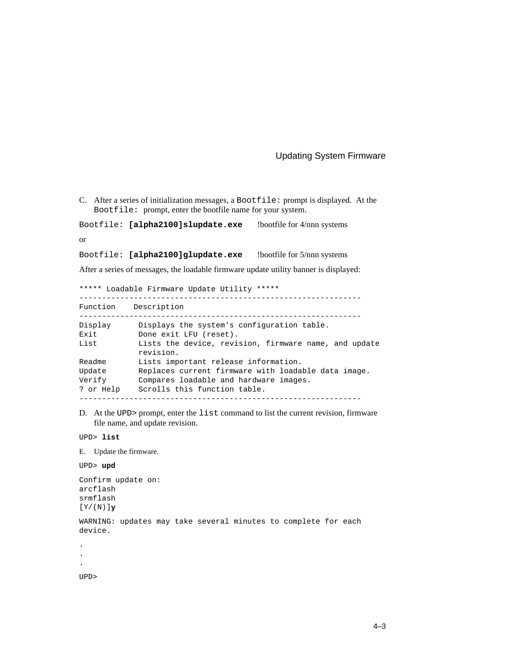C. After a series of initialization messages, a Bootfile: prompt is displayed. At the Bootfile: prompt, enter the bootfile name for your system.

Bootfile: **[alpha2100]slupdate.exe** !bootfile for 4/nnn systems

or

Bootfile: **[alpha2100]glupdate.exe** !bootfile for 5/nnn systems

After a series of messages, the loadable firmware update utility banner is displayed:

```
***** Loadable Firmware Update Utility *****
```

| Function                      | Description                                                                                                                   |
|-------------------------------|-------------------------------------------------------------------------------------------------------------------------------|
| Display                       | Displays the system's configuration table.                                                                                    |
| Exit                          | Done exit LFU (reset).                                                                                                        |
| List                          | Lists the device, revision, firmware name, and update<br>revision.                                                            |
| Readme                        | Lists important release information.                                                                                          |
| Update<br>Verify<br>? or Help | Replaces current firmware with loadable data image.<br>Compares loadable and hardware images.<br>Scrolls this function table. |
|                               |                                                                                                                               |

D. At the UPD> prompt, enter the list command to list the current revision, firmware file name, and update revision.

UPD> **list**

E. Update the firmware.

UPD> **upd**

```
Confirm update on:
arcflash
srmflash
[Y/(N)]y
```
WARNING: updates may take several minutes to complete for each device.

.

.

.

UPD>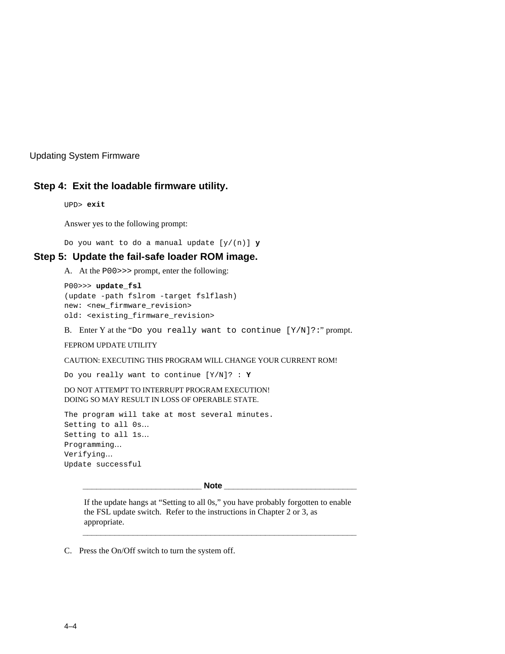### **Step 4: Exit the loadable firmware utility.**

UPD> **exit**

Answer yes to the following prompt:

Do you want to do a manual update [y/(n)] **y**

#### **Step 5: Update the fail-safe loader ROM image.**

A. At the P00>>> prompt, enter the following:

```
P00>>> update_fsl
(update -path fslrom -target fslflash)
new: <new_firmware_revision>
old: <existing_firmware_revision>
```
B. Enter Y at the "Do you really want to continue [Y/N]?:" prompt.

#### FEPROM UPDATE UTILITY

CAUTION: EXECUTING THIS PROGRAM WILL CHANGE YOUR CURRENT ROM!

Do you really want to continue [Y/N]? : **Y**

DO NOT ATTEMPT TO INTERRUPT PROGRAM EXECUTION! DOING SO MAY RESULT IN LOSS OF OPERABLE STATE.

The program will take at most several minutes. Setting to all 0s… Setting to all 1s… Programming… Verifying… Update successful

**\_\_\_\_\_\_\_\_\_\_\_\_\_\_\_\_\_\_\_\_\_\_\_\_\_\_ Note \_\_\_\_\_\_\_\_\_\_\_\_\_\_\_\_\_\_\_\_\_\_\_\_\_\_\_\_\_**

If the update hangs at "Setting to all 0s," you have probably forgotten to enable the FSL update switch. Refer to the instructions in Chapter 2 or 3, as appropriate.

**\_\_\_\_\_\_\_\_\_\_\_\_\_\_\_\_\_\_\_\_\_\_\_\_\_\_\_\_\_\_\_\_\_\_\_\_\_\_\_\_\_\_\_\_\_\_\_\_\_\_\_\_\_\_\_\_\_\_\_\_**

C. Press the On/Off switch to turn the system off.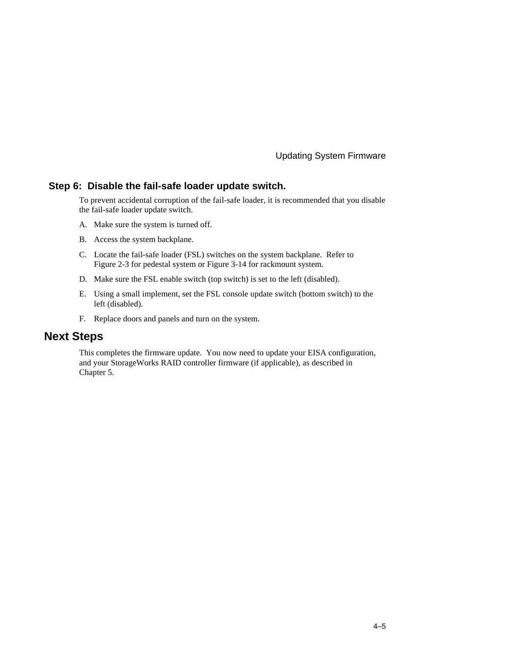#### **Step 6: Disable the fail-safe loader update switch.**

To prevent accidental corruption of the fail-safe loader, it is recommended that you disable the fail-safe loader update switch.

- A. Make sure the system is turned off.
- B. Access the system backplane.
- C. Locate the fail-safe loader (FSL) switches on the system backplane. Refer to Figure 2-3 for pedestal system or Figure 3-14 for rackmount system.
- D. Make sure the FSL enable switch (top switch) is set to the left (disabled).
- E. Using a small implement, set the FSL console update switch (bottom switch) to the left (disabled).
- F. Replace doors and panels and turn on the system.

# **Next Steps**

This completes the firmware update. You now need to update your EISA configuration, and your StorageWorks RAID controller firmware (if applicable), as described in Chapter 5.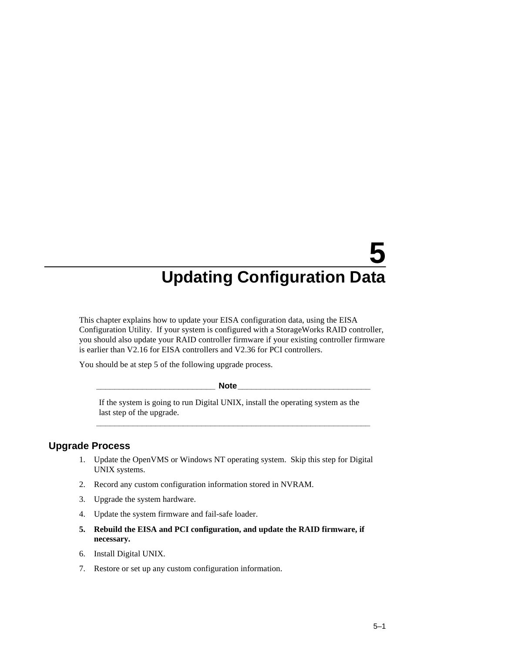This chapter explains how to update your EISA configuration data, using the EISA Configuration Utility. If your system is configured with a StorageWorks RAID controller, you should also update your RAID controller firmware if your existing controller firmware is earlier than V2.16 for EISA controllers and V2.36 for PCI controllers.

You should be at step 5 of the following upgrade process.

#### **Note**

If the system is going to run Digital UNIX, install the operating system as the last step of the upgrade.

**\_\_\_\_\_\_\_\_\_\_\_\_\_\_\_\_\_\_\_\_\_\_\_\_\_\_\_\_\_\_\_\_\_\_\_\_\_\_\_\_\_\_\_\_\_\_\_\_\_\_\_\_\_\_\_\_\_\_\_\_**

## **Upgrade Process**

- 1. Update the OpenVMS or Windows NT operating system. Skip this step for Digital UNIX systems.
- 2. Record any custom configuration information stored in NVRAM.
- 3. Upgrade the system hardware.
- 4. Update the system firmware and fail-safe loader.
- **5. Rebuild the EISA and PCI configuration, and update the RAID firmware, if necessary.**
- 6. Install Digital UNIX.
- 7. Restore or set up any custom configuration information.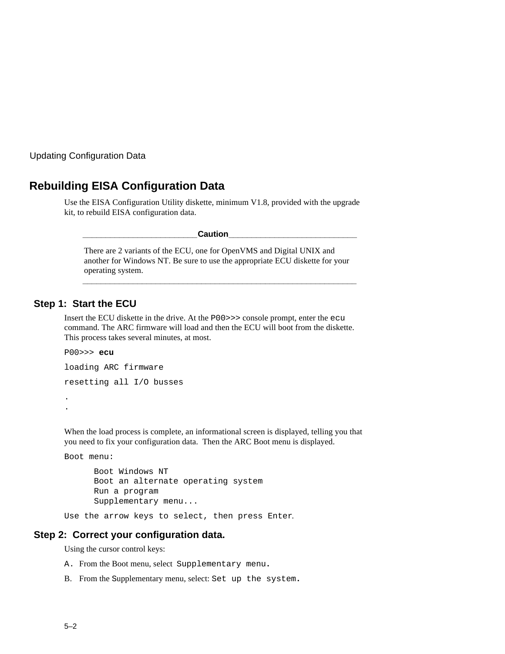## **Rebuilding EISA Configuration Data**

Use the EISA Configuration Utility diskette, minimum V1.8, provided with the upgrade kit, to rebuild EISA configuration data.

**\_\_\_\_\_\_\_\_\_\_\_\_\_\_\_\_\_\_\_\_\_\_\_\_\_Caution\_\_\_\_\_\_\_\_\_\_\_\_\_\_\_\_\_\_\_\_\_\_\_\_\_\_\_\_**

There are 2 variants of the ECU, one for OpenVMS and Digital UNIX and another for Windows NT. Be sure to use the appropriate ECU diskette for your operating system.

**\_\_\_\_\_\_\_\_\_\_\_\_\_\_\_\_\_\_\_\_\_\_\_\_\_\_\_\_\_\_\_\_\_\_\_\_\_\_\_\_\_\_\_\_\_\_\_\_\_\_\_\_\_\_\_\_\_\_\_\_**

### **Step 1: Start the ECU**

Insert the ECU diskette in the drive. At the P00>>> console prompt, enter the ecu command. The ARC firmware will load and then the ECU will boot from the diskette. This process takes several minutes, at most.

```
P00>>> ecu
loading ARC firmware
resetting all I/O busses
.
.
```
When the load process is complete, an informational screen is displayed, telling you that you need to fix your configuration data. Then the ARC Boot menu is displayed.

```
Boot menu:
```

```
Boot Windows NT
Boot an alternate operating system
Run a program
Supplementary menu...
```
Use the arrow keys to select, then press Enter.

#### **Step 2: Correct your configuration data.**

Using the cursor control keys:

- A. From the Boot menu, select Supplementary menu**.**
- B. From the Supplementary menu, select: Set up the system**.**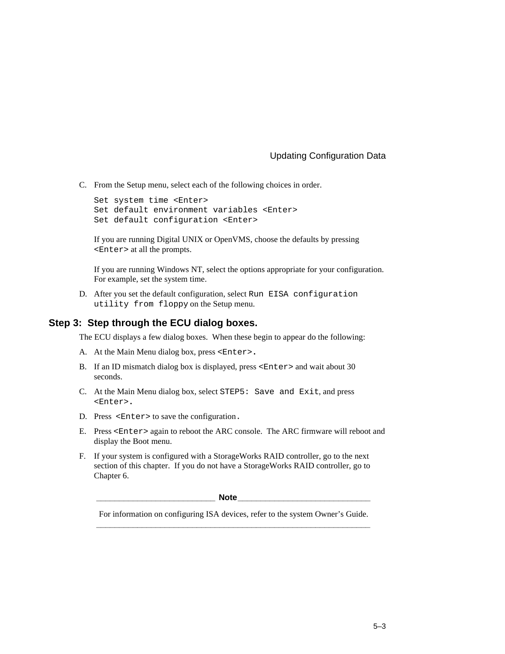C. From the Setup menu, select each of the following choices in order.

```
Set system time <Enter>
Set default environment variables <Enter>
Set default configuration <Enter>
```
If you are running Digital UNIX or OpenVMS, choose the defaults by pressing <Enter> at all the prompts.

If you are running Windows NT, select the options appropriate for your configuration. For example, set the system time.

D. After you set the default configuration, select Run EISA configuration utility from floppy on the Setup menu.

#### **Step 3: Step through the ECU dialog boxes.**

The ECU displays a few dialog boxes. When these begin to appear do the following:

- A. At the Main Menu dialog box, press <Enter>**.**
- B. If an ID mismatch dialog box is displayed, press <Enter> and wait about 30 seconds.
- C. At the Main Menu dialog box, select STEP5: Save and Exit, and press <Enter>**.**
- D. Press <Enter> to save the configuration.
- E. Press <Enter> again to reboot the ARC console. The ARC firmware will reboot and display the Boot menu.
- F. If your system is configured with a StorageWorks RAID controller, go to the next section of this chapter. If you do not have a StorageWorks RAID controller, go to Chapter 6.

**\_\_\_\_\_\_\_\_\_\_\_\_\_\_\_\_\_\_\_\_\_\_\_\_\_\_ Note\_\_\_\_\_\_\_\_\_\_\_\_\_\_\_\_\_\_\_\_\_\_\_\_\_\_\_\_\_**

For information on configuring ISA devices, refer to the system Owner's Guide. **\_\_\_\_\_\_\_\_\_\_\_\_\_\_\_\_\_\_\_\_\_\_\_\_\_\_\_\_\_\_\_\_\_\_\_\_\_\_\_\_\_\_\_\_\_\_\_\_\_\_\_\_\_\_\_\_\_\_\_\_**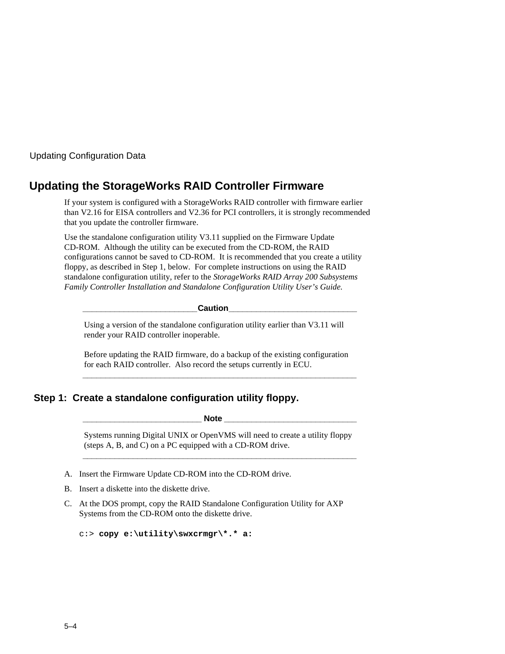# **Updating the StorageWorks RAID Controller Firmware**

If your system is configured with a StorageWorks RAID controller with firmware earlier than V2.16 for EISA controllers and V2.36 for PCI controllers, it is strongly recommended that you update the controller firmware.

Use the standalone configuration utility V3.11 supplied on the Firmware Update CD-ROM. Although the utility can be executed from the CD-ROM, the RAID configurations cannot be saved to CD-ROM. It is recommended that you create a utility floppy, as described in Step 1, below. For complete instructions on using the RAID standalone configuration utility, refer to the *StorageWorks RAID Array 200 Subsystems Family Controller Installation and Standalone Configuration Utility User's Guide.*

**\_\_\_\_\_\_\_\_\_\_\_\_\_\_\_\_\_\_\_\_\_\_\_\_\_Caution\_\_\_\_\_\_\_\_\_\_\_\_\_\_\_\_\_\_\_\_\_\_\_\_\_\_\_\_**

Using a version of the standalone configuration utility earlier than V3.11 will render your RAID controller inoperable.

Before updating the RAID firmware, do a backup of the existing configuration for each RAID controller. Also record the setups currently in ECU.

**\_\_\_\_\_\_\_\_\_\_\_\_\_\_\_\_\_\_\_\_\_\_\_\_\_\_\_\_\_\_\_\_\_\_\_\_\_\_\_\_\_\_\_\_\_\_\_\_\_\_\_\_\_\_\_\_\_\_\_\_**

## **Step 1: Create a standalone configuration utility floppy.**

**\_\_\_\_\_\_\_\_\_\_\_\_\_\_\_\_\_\_\_\_\_\_\_\_\_\_ Note \_\_\_\_\_\_\_\_\_\_\_\_\_\_\_\_\_\_\_\_\_\_\_\_\_\_\_\_\_**

Systems running Digital UNIX or OpenVMS will need to create a utility floppy (steps A, B, and C) on a PC equipped with a CD-ROM drive. **\_\_\_\_\_\_\_\_\_\_\_\_\_\_\_\_\_\_\_\_\_\_\_\_\_\_\_\_\_\_\_\_\_\_\_\_\_\_\_\_\_\_\_\_\_\_\_\_\_\_\_\_\_\_\_\_\_\_\_\_**

A. Insert the Firmware Update CD-ROM into the CD-ROM drive.

- B. Insert a diskette into the diskette drive.
- C. At the DOS prompt, copy the RAID Standalone Configuration Utility for AXP Systems from the CD-ROM onto the diskette drive.

```
c:> copy e:\utility\swxcrmgr\*.* a:
```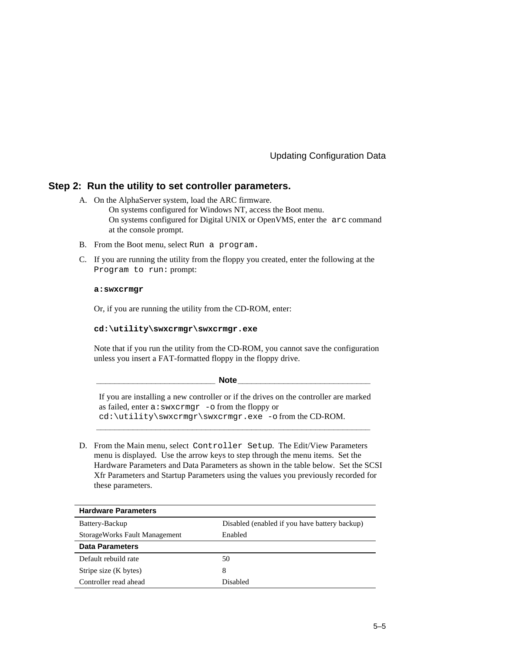#### **Step 2: Run the utility to set controller parameters.**

- A. On the AlphaServer system, load the ARC firmware. On systems configured for Windows NT, access the Boot menu. On systems configured for Digital UNIX or OpenVMS, enter the arc command at the console prompt.
- B. From the Boot menu, select Run a program.
- C. If you are running the utility from the floppy you created, enter the following at the Program to run: prompt:

#### **a:swxcrmgr**

Or, if you are running the utility from the CD-ROM, enter:

#### **cd:\utility\swxcrmgr\swxcrmgr.exe**

Note that if you run the utility from the CD-ROM, you cannot save the configuration unless you insert a FAT-formatted floppy in the floppy drive.

| <b>Note</b>                                                                                                                                                                                            |  |
|--------------------------------------------------------------------------------------------------------------------------------------------------------------------------------------------------------|--|
| If you are installing a new controller or if the drives on the controller are marked<br>as failed, enter $a:swxcrmgr$ -o from the floppy or<br>$cd:\utility\swxcrmqr\swxcrmqr.exe - ofrom the CD-ROM.$ |  |

D. From the Main menu, select Controller Setup. The Edit/View Parameters menu is displayed. Use the arrow keys to step through the menu items. Set the Hardware Parameters and Data Parameters as shown in the table below. Set the SCSI Xfr Parameters and Startup Parameters using the values you previously recorded for these parameters.

| <b>Hardware Parameters</b>    |                                               |  |
|-------------------------------|-----------------------------------------------|--|
| Battery-Backup                | Disabled (enabled if you have battery backup) |  |
| StorageWorks Fault Management | Enabled                                       |  |
| <b>Data Parameters</b>        |                                               |  |
| Default rebuild rate          | 50                                            |  |
| Stripe size (K bytes)         | 8                                             |  |
| Controller read ahead         | Disabled                                      |  |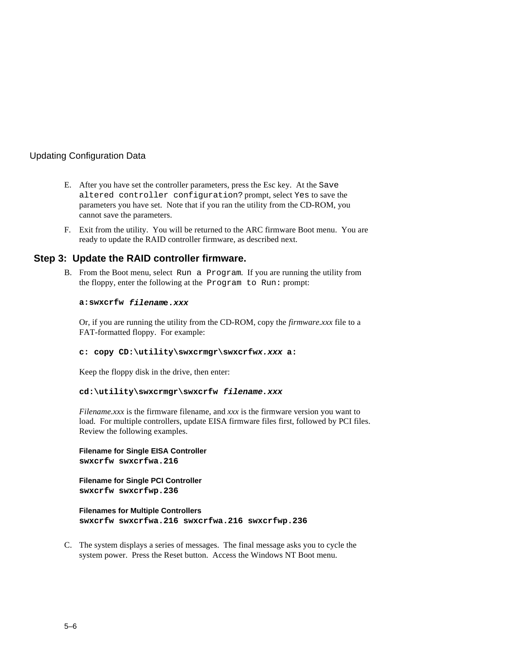- E. After you have set the controller parameters, press the Esc key. At the Save altered controller configuration? prompt, select Yes to save the parameters you have set. Note that if you ran the utility from the CD-ROM, you cannot save the parameters.
- F. Exit from the utility. You will be returned to the ARC firmware Boot menu. You are ready to update the RAID controller firmware, as described next.

#### **Step 3: Update the RAID controller firmware.**

B. From the Boot menu, select Run a Program. If you are running the utility from the floppy, enter the following at the Program to Run: prompt:

#### **a:swxcrfw filename.xxx**

Or, if you are running the utility from the CD-ROM, copy the *firmware.xxx* file to a FAT-formatted floppy. For example:

#### **c: copy CD:\utility\swxcrmgr\swxcrfwx.xxx a:**

Keep the floppy disk in the drive, then enter:

#### **cd:\utility\swxcrmgr\swxcrfw filename.xxx**

*Filename.xxx* is the firmware filename, and *xxx* is the firmware version you want to load. For multiple controllers, update EISA firmware files first, followed by PCI files. Review the following examples.

#### **Filename for Single EISA Controller swxcrfw swxcrfwa.216**

#### **Filename for Single PCI Controller swxcrfw swxcrfwp.236**

**Filenames for Multiple Controllers swxcrfw swxcrfwa.216 swxcrfwa.216 swxcrfwp.236**

C. The system displays a series of messages. The final message asks you to cycle the system power. Press the Reset button. Access the Windows NT Boot menu.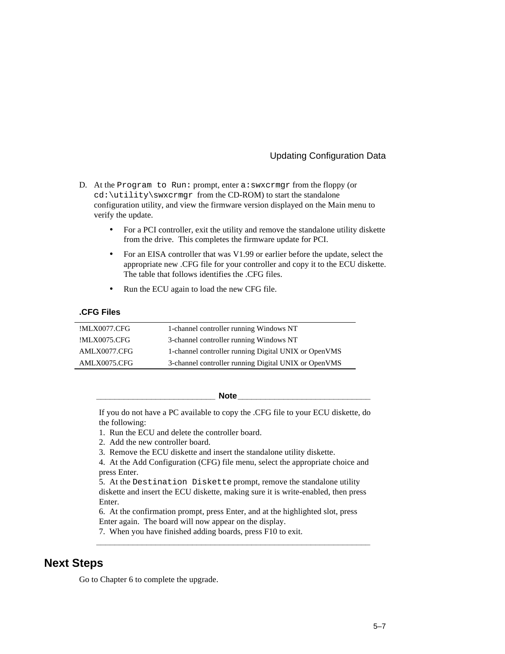### Updating Configuration Data

- D. At the Program to Run: prompt, enter a: swxcrmgr from the floppy (or cd:\utility\swxcrmgr from the CD-ROM) to start the standalone configuration utility, and view the firmware version displayed on the Main menu to verify the update.
	- For a PCI controller, exit the utility and remove the standalone utility diskette from the drive. This completes the firmware update for PCI.
	- For an EISA controller that was V1.99 or earlier before the update, select the appropriate new .CFG file for your controller and copy it to the ECU diskette. The table that follows identifies the .CFG files.
	- Run the ECU again to load the new CFG file.

#### **.CFG Files**

| !MLX0077.CFG | 1-channel controller running Windows NT              |
|--------------|------------------------------------------------------|
| !MLX0075.CFG | 3-channel controller running Windows NT              |
| AMLX0077.CFG | 1-channel controller running Digital UNIX or OpenVMS |
| AMLX0075.CFG | 3-channel controller running Digital UNIX or OpenVMS |

**\_\_\_\_\_\_\_\_\_\_\_\_\_\_\_\_\_\_\_\_\_\_\_\_\_\_ Note\_\_\_\_\_\_\_\_\_\_\_\_\_\_\_\_\_\_\_\_\_\_\_\_\_\_\_\_\_**

If you do not have a PC available to copy the .CFG file to your ECU diskette, do the following:

1. Run the ECU and delete the controller board.

- 2. Add the new controller board.
- 3. Remove the ECU diskette and insert the standalone utility diskette.

4. At the Add Configuration (CFG) file menu, select the appropriate choice and press Enter.

5. At the Destination Diskette prompt, remove the standalone utility diskette and insert the ECU diskette, making sure it is write-enabled, then press Enter.

6. At the confirmation prompt, press Enter, and at the highlighted slot, press Enter again. The board will now appear on the display.

**\_\_\_\_\_\_\_\_\_\_\_\_\_\_\_\_\_\_\_\_\_\_\_\_\_\_\_\_\_\_\_\_\_\_\_\_\_\_\_\_\_\_\_\_\_\_\_\_\_\_\_\_\_\_\_\_\_\_\_\_**

7. When you have finished adding boards, press F10 to exit.

### **Next Steps**

Go to Chapter 6 to complete the upgrade.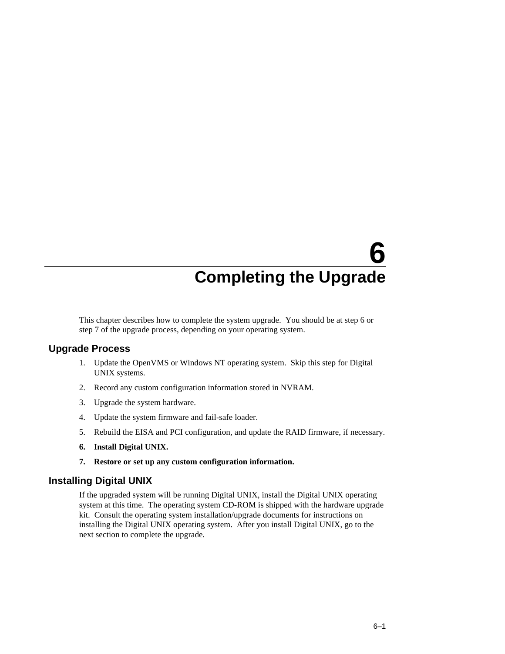# **6 Completing the Upgrade**

This chapter describes how to complete the system upgrade. You should be at step 6 or step 7 of the upgrade process, depending on your operating system.

### **Upgrade Process**

- 1. Update the OpenVMS or Windows NT operating system. Skip this step for Digital UNIX systems.
- 2. Record any custom configuration information stored in NVRAM.
- 3. Upgrade the system hardware.
- 4. Update the system firmware and fail-safe loader.
- 5. Rebuild the EISA and PCI configuration, and update the RAID firmware, if necessary.
- **6. Install Digital UNIX.**
- **7. Restore or set up any custom configuration information.**

### **Installing Digital UNIX**

If the upgraded system will be running Digital UNIX, install the Digital UNIX operating system at this time. The operating system CD-ROM is shipped with the hardware upgrade kit. Consult the operating system installation/upgrade documents for instructions on installing the Digital UNIX operating system. After you install Digital UNIX, go to the next section to complete the upgrade.